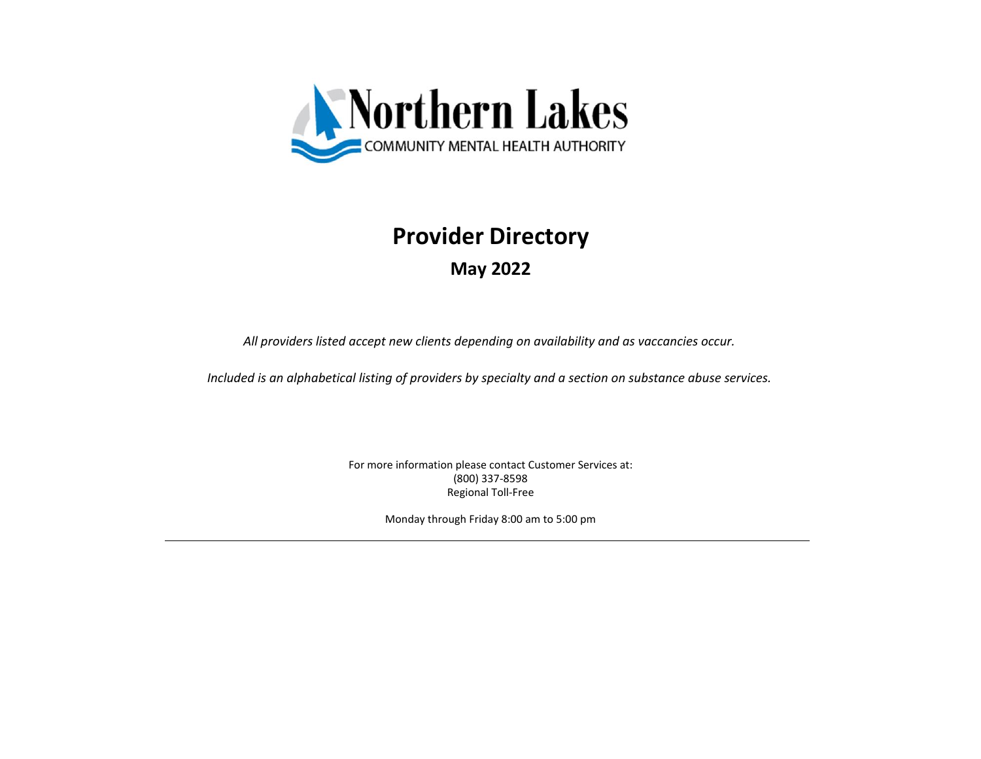

## **Provider Directory**

**May 2022**

*All providers listed accept new clients depending on availability and as vaccancies occur.*

*Included is an alphabetical listing of providers by specialty and a section on substance abuse services.*

(800) 337-8598 Regional Toll-Free For more information please contact Customer Services at:

Monday through Friday 8:00 am to 5:00 pm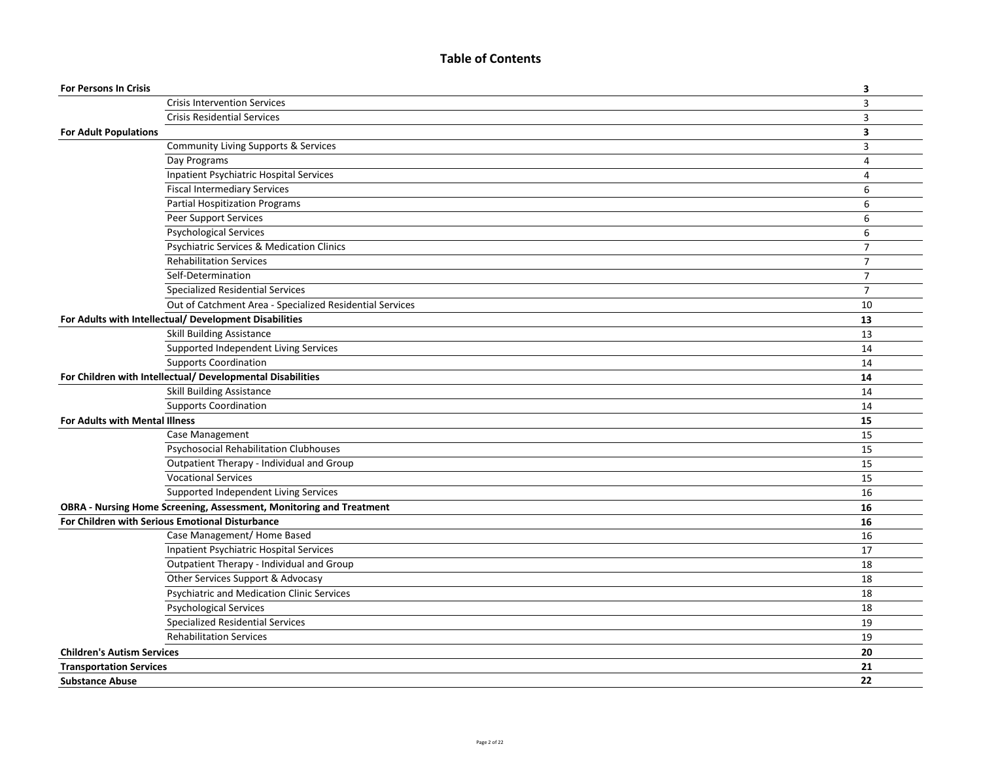## **Table of Contents**

| <b>Crisis Intervention Services</b><br>$\overline{3}$<br>3<br><b>Crisis Residential Services</b><br><b>For Adult Populations</b><br>$\overline{\mathbf{3}}$<br>Community Living Supports & Services<br>$\overline{3}$<br>Day Programs<br>$\overline{4}$<br>Inpatient Psychiatric Hospital Services<br>$\overline{4}$<br><b>Fiscal Intermediary Services</b><br>6<br><b>Partial Hospitization Programs</b><br>6<br>Peer Support Services<br>6<br>6<br><b>Psychological Services</b><br><b>Psychiatric Services &amp; Medication Clinics</b><br>$\overline{7}$<br><b>Rehabilitation Services</b><br>$\overline{7}$<br>Self-Determination<br>$\overline{7}$<br>$\overline{7}$<br><b>Specialized Residential Services</b><br>Out of Catchment Area - Specialized Residential Services<br>10<br>For Adults with Intellectual/ Development Disabilities<br>13<br><b>Skill Building Assistance</b><br>13<br>Supported Independent Living Services<br>14<br><b>Supports Coordination</b><br>14<br>For Children with Intellectual/ Developmental Disabilities<br>14<br>Skill Building Assistance<br>14<br><b>Supports Coordination</b><br>14<br>15<br>For Adults with Mental Illness<br>Case Management<br>15<br>Psychosocial Rehabilitation Clubhouses<br>15<br>Outpatient Therapy - Individual and Group<br>15<br><b>Vocational Services</b><br>15<br>Supported Independent Living Services<br>16<br>OBRA - Nursing Home Screening, Assessment, Monitoring and Treatment<br>16<br>For Children with Serious Emotional Disturbance<br>16<br>Case Management/ Home Based<br>16<br>Inpatient Psychiatric Hospital Services<br>17<br>Outpatient Therapy - Individual and Group<br>18<br>Other Services Support & Advocasy<br>18<br><b>Psychiatric and Medication Clinic Services</b><br>18<br><b>Psychological Services</b><br>18<br><b>Specialized Residential Services</b><br>19<br><b>Rehabilitation Services</b><br>19<br>20<br><b>Children's Autism Services</b><br>21<br><b>Transportation Services</b><br>22<br><b>Substance Abuse</b> | <b>For Persons In Crisis</b> | 3 |
|------------------------------------------------------------------------------------------------------------------------------------------------------------------------------------------------------------------------------------------------------------------------------------------------------------------------------------------------------------------------------------------------------------------------------------------------------------------------------------------------------------------------------------------------------------------------------------------------------------------------------------------------------------------------------------------------------------------------------------------------------------------------------------------------------------------------------------------------------------------------------------------------------------------------------------------------------------------------------------------------------------------------------------------------------------------------------------------------------------------------------------------------------------------------------------------------------------------------------------------------------------------------------------------------------------------------------------------------------------------------------------------------------------------------------------------------------------------------------------------------------------------------------------------------------------------------------------------------------------------------------------------------------------------------------------------------------------------------------------------------------------------------------------------------------------------------------------------------------------------------------------------------------------------------------------------------------------------------------------------------------------------------------------|------------------------------|---|
|                                                                                                                                                                                                                                                                                                                                                                                                                                                                                                                                                                                                                                                                                                                                                                                                                                                                                                                                                                                                                                                                                                                                                                                                                                                                                                                                                                                                                                                                                                                                                                                                                                                                                                                                                                                                                                                                                                                                                                                                                                    |                              |   |
|                                                                                                                                                                                                                                                                                                                                                                                                                                                                                                                                                                                                                                                                                                                                                                                                                                                                                                                                                                                                                                                                                                                                                                                                                                                                                                                                                                                                                                                                                                                                                                                                                                                                                                                                                                                                                                                                                                                                                                                                                                    |                              |   |
|                                                                                                                                                                                                                                                                                                                                                                                                                                                                                                                                                                                                                                                                                                                                                                                                                                                                                                                                                                                                                                                                                                                                                                                                                                                                                                                                                                                                                                                                                                                                                                                                                                                                                                                                                                                                                                                                                                                                                                                                                                    |                              |   |
|                                                                                                                                                                                                                                                                                                                                                                                                                                                                                                                                                                                                                                                                                                                                                                                                                                                                                                                                                                                                                                                                                                                                                                                                                                                                                                                                                                                                                                                                                                                                                                                                                                                                                                                                                                                                                                                                                                                                                                                                                                    |                              |   |
|                                                                                                                                                                                                                                                                                                                                                                                                                                                                                                                                                                                                                                                                                                                                                                                                                                                                                                                                                                                                                                                                                                                                                                                                                                                                                                                                                                                                                                                                                                                                                                                                                                                                                                                                                                                                                                                                                                                                                                                                                                    |                              |   |
|                                                                                                                                                                                                                                                                                                                                                                                                                                                                                                                                                                                                                                                                                                                                                                                                                                                                                                                                                                                                                                                                                                                                                                                                                                                                                                                                                                                                                                                                                                                                                                                                                                                                                                                                                                                                                                                                                                                                                                                                                                    |                              |   |
|                                                                                                                                                                                                                                                                                                                                                                                                                                                                                                                                                                                                                                                                                                                                                                                                                                                                                                                                                                                                                                                                                                                                                                                                                                                                                                                                                                                                                                                                                                                                                                                                                                                                                                                                                                                                                                                                                                                                                                                                                                    |                              |   |
|                                                                                                                                                                                                                                                                                                                                                                                                                                                                                                                                                                                                                                                                                                                                                                                                                                                                                                                                                                                                                                                                                                                                                                                                                                                                                                                                                                                                                                                                                                                                                                                                                                                                                                                                                                                                                                                                                                                                                                                                                                    |                              |   |
|                                                                                                                                                                                                                                                                                                                                                                                                                                                                                                                                                                                                                                                                                                                                                                                                                                                                                                                                                                                                                                                                                                                                                                                                                                                                                                                                                                                                                                                                                                                                                                                                                                                                                                                                                                                                                                                                                                                                                                                                                                    |                              |   |
|                                                                                                                                                                                                                                                                                                                                                                                                                                                                                                                                                                                                                                                                                                                                                                                                                                                                                                                                                                                                                                                                                                                                                                                                                                                                                                                                                                                                                                                                                                                                                                                                                                                                                                                                                                                                                                                                                                                                                                                                                                    |                              |   |
|                                                                                                                                                                                                                                                                                                                                                                                                                                                                                                                                                                                                                                                                                                                                                                                                                                                                                                                                                                                                                                                                                                                                                                                                                                                                                                                                                                                                                                                                                                                                                                                                                                                                                                                                                                                                                                                                                                                                                                                                                                    |                              |   |
|                                                                                                                                                                                                                                                                                                                                                                                                                                                                                                                                                                                                                                                                                                                                                                                                                                                                                                                                                                                                                                                                                                                                                                                                                                                                                                                                                                                                                                                                                                                                                                                                                                                                                                                                                                                                                                                                                                                                                                                                                                    |                              |   |
|                                                                                                                                                                                                                                                                                                                                                                                                                                                                                                                                                                                                                                                                                                                                                                                                                                                                                                                                                                                                                                                                                                                                                                                                                                                                                                                                                                                                                                                                                                                                                                                                                                                                                                                                                                                                                                                                                                                                                                                                                                    |                              |   |
|                                                                                                                                                                                                                                                                                                                                                                                                                                                                                                                                                                                                                                                                                                                                                                                                                                                                                                                                                                                                                                                                                                                                                                                                                                                                                                                                                                                                                                                                                                                                                                                                                                                                                                                                                                                                                                                                                                                                                                                                                                    |                              |   |
|                                                                                                                                                                                                                                                                                                                                                                                                                                                                                                                                                                                                                                                                                                                                                                                                                                                                                                                                                                                                                                                                                                                                                                                                                                                                                                                                                                                                                                                                                                                                                                                                                                                                                                                                                                                                                                                                                                                                                                                                                                    |                              |   |
|                                                                                                                                                                                                                                                                                                                                                                                                                                                                                                                                                                                                                                                                                                                                                                                                                                                                                                                                                                                                                                                                                                                                                                                                                                                                                                                                                                                                                                                                                                                                                                                                                                                                                                                                                                                                                                                                                                                                                                                                                                    |                              |   |
|                                                                                                                                                                                                                                                                                                                                                                                                                                                                                                                                                                                                                                                                                                                                                                                                                                                                                                                                                                                                                                                                                                                                                                                                                                                                                                                                                                                                                                                                                                                                                                                                                                                                                                                                                                                                                                                                                                                                                                                                                                    |                              |   |
|                                                                                                                                                                                                                                                                                                                                                                                                                                                                                                                                                                                                                                                                                                                                                                                                                                                                                                                                                                                                                                                                                                                                                                                                                                                                                                                                                                                                                                                                                                                                                                                                                                                                                                                                                                                                                                                                                                                                                                                                                                    |                              |   |
|                                                                                                                                                                                                                                                                                                                                                                                                                                                                                                                                                                                                                                                                                                                                                                                                                                                                                                                                                                                                                                                                                                                                                                                                                                                                                                                                                                                                                                                                                                                                                                                                                                                                                                                                                                                                                                                                                                                                                                                                                                    |                              |   |
|                                                                                                                                                                                                                                                                                                                                                                                                                                                                                                                                                                                                                                                                                                                                                                                                                                                                                                                                                                                                                                                                                                                                                                                                                                                                                                                                                                                                                                                                                                                                                                                                                                                                                                                                                                                                                                                                                                                                                                                                                                    |                              |   |
|                                                                                                                                                                                                                                                                                                                                                                                                                                                                                                                                                                                                                                                                                                                                                                                                                                                                                                                                                                                                                                                                                                                                                                                                                                                                                                                                                                                                                                                                                                                                                                                                                                                                                                                                                                                                                                                                                                                                                                                                                                    |                              |   |
|                                                                                                                                                                                                                                                                                                                                                                                                                                                                                                                                                                                                                                                                                                                                                                                                                                                                                                                                                                                                                                                                                                                                                                                                                                                                                                                                                                                                                                                                                                                                                                                                                                                                                                                                                                                                                                                                                                                                                                                                                                    |                              |   |
|                                                                                                                                                                                                                                                                                                                                                                                                                                                                                                                                                                                                                                                                                                                                                                                                                                                                                                                                                                                                                                                                                                                                                                                                                                                                                                                                                                                                                                                                                                                                                                                                                                                                                                                                                                                                                                                                                                                                                                                                                                    |                              |   |
|                                                                                                                                                                                                                                                                                                                                                                                                                                                                                                                                                                                                                                                                                                                                                                                                                                                                                                                                                                                                                                                                                                                                                                                                                                                                                                                                                                                                                                                                                                                                                                                                                                                                                                                                                                                                                                                                                                                                                                                                                                    |                              |   |
|                                                                                                                                                                                                                                                                                                                                                                                                                                                                                                                                                                                                                                                                                                                                                                                                                                                                                                                                                                                                                                                                                                                                                                                                                                                                                                                                                                                                                                                                                                                                                                                                                                                                                                                                                                                                                                                                                                                                                                                                                                    |                              |   |
|                                                                                                                                                                                                                                                                                                                                                                                                                                                                                                                                                                                                                                                                                                                                                                                                                                                                                                                                                                                                                                                                                                                                                                                                                                                                                                                                                                                                                                                                                                                                                                                                                                                                                                                                                                                                                                                                                                                                                                                                                                    |                              |   |
|                                                                                                                                                                                                                                                                                                                                                                                                                                                                                                                                                                                                                                                                                                                                                                                                                                                                                                                                                                                                                                                                                                                                                                                                                                                                                                                                                                                                                                                                                                                                                                                                                                                                                                                                                                                                                                                                                                                                                                                                                                    |                              |   |
|                                                                                                                                                                                                                                                                                                                                                                                                                                                                                                                                                                                                                                                                                                                                                                                                                                                                                                                                                                                                                                                                                                                                                                                                                                                                                                                                                                                                                                                                                                                                                                                                                                                                                                                                                                                                                                                                                                                                                                                                                                    |                              |   |
|                                                                                                                                                                                                                                                                                                                                                                                                                                                                                                                                                                                                                                                                                                                                                                                                                                                                                                                                                                                                                                                                                                                                                                                                                                                                                                                                                                                                                                                                                                                                                                                                                                                                                                                                                                                                                                                                                                                                                                                                                                    |                              |   |
|                                                                                                                                                                                                                                                                                                                                                                                                                                                                                                                                                                                                                                                                                                                                                                                                                                                                                                                                                                                                                                                                                                                                                                                                                                                                                                                                                                                                                                                                                                                                                                                                                                                                                                                                                                                                                                                                                                                                                                                                                                    |                              |   |
|                                                                                                                                                                                                                                                                                                                                                                                                                                                                                                                                                                                                                                                                                                                                                                                                                                                                                                                                                                                                                                                                                                                                                                                                                                                                                                                                                                                                                                                                                                                                                                                                                                                                                                                                                                                                                                                                                                                                                                                                                                    |                              |   |
|                                                                                                                                                                                                                                                                                                                                                                                                                                                                                                                                                                                                                                                                                                                                                                                                                                                                                                                                                                                                                                                                                                                                                                                                                                                                                                                                                                                                                                                                                                                                                                                                                                                                                                                                                                                                                                                                                                                                                                                                                                    |                              |   |
|                                                                                                                                                                                                                                                                                                                                                                                                                                                                                                                                                                                                                                                                                                                                                                                                                                                                                                                                                                                                                                                                                                                                                                                                                                                                                                                                                                                                                                                                                                                                                                                                                                                                                                                                                                                                                                                                                                                                                                                                                                    |                              |   |
|                                                                                                                                                                                                                                                                                                                                                                                                                                                                                                                                                                                                                                                                                                                                                                                                                                                                                                                                                                                                                                                                                                                                                                                                                                                                                                                                                                                                                                                                                                                                                                                                                                                                                                                                                                                                                                                                                                                                                                                                                                    |                              |   |
|                                                                                                                                                                                                                                                                                                                                                                                                                                                                                                                                                                                                                                                                                                                                                                                                                                                                                                                                                                                                                                                                                                                                                                                                                                                                                                                                                                                                                                                                                                                                                                                                                                                                                                                                                                                                                                                                                                                                                                                                                                    |                              |   |
|                                                                                                                                                                                                                                                                                                                                                                                                                                                                                                                                                                                                                                                                                                                                                                                                                                                                                                                                                                                                                                                                                                                                                                                                                                                                                                                                                                                                                                                                                                                                                                                                                                                                                                                                                                                                                                                                                                                                                                                                                                    |                              |   |
|                                                                                                                                                                                                                                                                                                                                                                                                                                                                                                                                                                                                                                                                                                                                                                                                                                                                                                                                                                                                                                                                                                                                                                                                                                                                                                                                                                                                                                                                                                                                                                                                                                                                                                                                                                                                                                                                                                                                                                                                                                    |                              |   |
|                                                                                                                                                                                                                                                                                                                                                                                                                                                                                                                                                                                                                                                                                                                                                                                                                                                                                                                                                                                                                                                                                                                                                                                                                                                                                                                                                                                                                                                                                                                                                                                                                                                                                                                                                                                                                                                                                                                                                                                                                                    |                              |   |
|                                                                                                                                                                                                                                                                                                                                                                                                                                                                                                                                                                                                                                                                                                                                                                                                                                                                                                                                                                                                                                                                                                                                                                                                                                                                                                                                                                                                                                                                                                                                                                                                                                                                                                                                                                                                                                                                                                                                                                                                                                    |                              |   |
|                                                                                                                                                                                                                                                                                                                                                                                                                                                                                                                                                                                                                                                                                                                                                                                                                                                                                                                                                                                                                                                                                                                                                                                                                                                                                                                                                                                                                                                                                                                                                                                                                                                                                                                                                                                                                                                                                                                                                                                                                                    |                              |   |
|                                                                                                                                                                                                                                                                                                                                                                                                                                                                                                                                                                                                                                                                                                                                                                                                                                                                                                                                                                                                                                                                                                                                                                                                                                                                                                                                                                                                                                                                                                                                                                                                                                                                                                                                                                                                                                                                                                                                                                                                                                    |                              |   |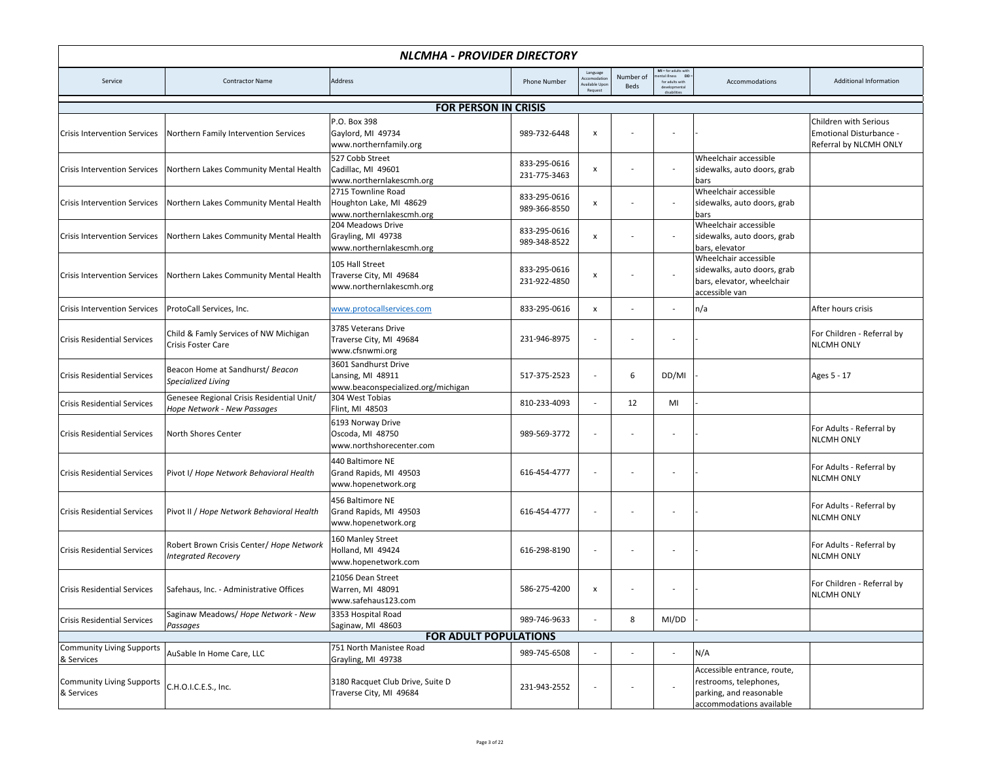|                                                | NLCMHA - PROVIDER DIRECTORY                                              |                                                                                 |                              |                                                   |                   |                                                                              |                                                                                                              |                                                                            |  |  |  |
|------------------------------------------------|--------------------------------------------------------------------------|---------------------------------------------------------------------------------|------------------------------|---------------------------------------------------|-------------------|------------------------------------------------------------------------------|--------------------------------------------------------------------------------------------------------------|----------------------------------------------------------------------------|--|--|--|
| Service                                        | <b>Contractor Name</b>                                                   | Address                                                                         | <b>Phone Number</b>          | Language<br>ccomodatio<br>vailable Upo<br>Request | Number of<br>Beds | MI = for adults with<br>ntal illness DD =<br>for adults with<br>disabilities | Accommodations                                                                                               | Additional Information                                                     |  |  |  |
|                                                |                                                                          | <b>FOR PERSON IN CRISIS</b>                                                     |                              |                                                   |                   |                                                                              |                                                                                                              |                                                                            |  |  |  |
| <b>Crisis Intervention Services</b>            | Northern Family Intervention Services                                    | P.O. Box 398<br>Gaylord, MI 49734<br>www.northernfamily.org                     | 989-732-6448                 | $\boldsymbol{\mathsf{x}}$                         |                   |                                                                              |                                                                                                              | Children with Serious<br>Emotional Disturbance -<br>Referral by NLCMH ONLY |  |  |  |
| <b>Crisis Intervention Services</b>            | Northern Lakes Community Mental Health                                   | 527 Cobb Street<br>Cadillac, MI 49601<br>www.northernlakescmh.org               | 833-295-0616<br>231-775-3463 | $\boldsymbol{x}$                                  |                   |                                                                              | Wheelchair accessible<br>sidewalks, auto doors, grab<br>bars                                                 |                                                                            |  |  |  |
| <b>Crisis Intervention Services</b>            | Northern Lakes Community Mental Health                                   | 2715 Townline Road<br>Houghton Lake, MI 48629<br>www.northernlakescmh.org       | 833-295-0616<br>989-366-8550 | $\boldsymbol{x}$                                  |                   |                                                                              | Wheelchair accessible<br>sidewalks, auto doors, grab<br>bars                                                 |                                                                            |  |  |  |
| <b>Crisis Intervention Services</b>            | Northern Lakes Community Mental Health                                   | 204 Meadows Drive<br>Grayling, MI 49738<br>www.northernlakescmh.org             | 833-295-0616<br>989-348-8522 | x                                                 |                   |                                                                              | Wheelchair accessible<br>sidewalks, auto doors, grab<br>bars, elevator                                       |                                                                            |  |  |  |
| <b>Crisis Intervention Services</b>            | Northern Lakes Community Mental Health                                   | 105 Hall Street<br>Traverse City, MI 49684<br>www.northernlakescmh.org          | 833-295-0616<br>231-922-4850 | x                                                 |                   |                                                                              | Wheelchair accessible<br>sidewalks, auto doors, grab<br>bars, elevator, wheelchair<br>accessible van         |                                                                            |  |  |  |
| <b>Crisis Intervention Services</b>            | ProtoCall Services, Inc.                                                 | www.protocallservices.com                                                       | 833-295-0616                 | x                                                 |                   | $\overline{\phantom{a}}$                                                     | n/a                                                                                                          | After hours crisis                                                         |  |  |  |
| <b>Crisis Residential Services</b>             | Child & Famly Services of NW Michigan<br>Crisis Foster Care              | 3785 Veterans Drive<br>Traverse City, MI 49684<br>www.cfsnwmi.org               | 231-946-8975                 |                                                   |                   |                                                                              |                                                                                                              | For Children - Referral by<br><b>NLCMH ONLY</b>                            |  |  |  |
| <b>Crisis Residential Services</b>             | Beacon Home at Sandhurst/ Beacon<br>Specialized Living                   | 3601 Sandhurst Drive<br>Lansing, MI 48911<br>www.beaconspecialized.org/michigan | 517-375-2523                 | ÷,                                                | 6                 | DD/MI                                                                        |                                                                                                              | Ages 5 - 17                                                                |  |  |  |
| <b>Crisis Residential Services</b>             | Genesee Regional Crisis Residential Unit/<br>Hope Network - New Passages | 304 West Tobias<br>Flint, MI 48503                                              | 810-233-4093                 | $\overline{\phantom{a}}$                          | 12                | MI                                                                           |                                                                                                              |                                                                            |  |  |  |
| <b>Crisis Residential Services</b>             | North Shores Center                                                      | 6193 Norway Drive<br>Oscoda, MI 48750<br>www.northshorecenter.com               | 989-569-3772                 | $\overline{\phantom{a}}$                          |                   |                                                                              |                                                                                                              | For Adults - Referral by<br><b>NLCMH ONLY</b>                              |  |  |  |
| <b>Crisis Residential Services</b>             | Pivot I/ Hope Network Behavioral Health                                  | 440 Baltimore NE<br>Grand Rapids, MI 49503<br>www.hopenetwork.org               | 616-454-4777                 |                                                   |                   |                                                                              |                                                                                                              | For Adults - Referral by<br><b>NLCMH ONLY</b>                              |  |  |  |
| <b>Crisis Residential Services</b>             | Pivot II / Hope Network Behavioral Health                                | 456 Baltimore NE<br>Grand Rapids, MI 49503<br>www.hopenetwork.org               | 616-454-4777                 |                                                   |                   |                                                                              |                                                                                                              | For Adults - Referral by<br><b>NLCMH ONLY</b>                              |  |  |  |
| <b>Crisis Residential Services</b>             | Robert Brown Crisis Center/ Hope Network<br><b>Integrated Recovery</b>   | 160 Manley Street<br>Holland, MI 49424<br>www.hopenetwork.com                   | 616-298-8190                 | $\overline{\phantom{a}}$                          |                   |                                                                              |                                                                                                              | For Adults - Referral by<br><b>NLCMH ONLY</b>                              |  |  |  |
| <b>Crisis Residential Services</b>             | Safehaus, Inc. - Administrative Offices                                  | 21056 Dean Street<br>Warren, MI 48091<br>www.safehaus123.com                    | 586-275-4200                 | X                                                 |                   |                                                                              |                                                                                                              | For Children - Referral by<br><b>NLCMH ONLY</b>                            |  |  |  |
| <b>Crisis Residential Services</b>             | Saginaw Meadows/ Hope Network - New<br>Passages                          | 3353 Hospital Road<br>Saginaw, MI 48603                                         | 989-746-9633                 | ÷,                                                | 8                 | MI/DD                                                                        |                                                                                                              |                                                                            |  |  |  |
|                                                |                                                                          | <b>FOR ADULT POPULATIONS</b>                                                    |                              |                                                   |                   |                                                                              |                                                                                                              |                                                                            |  |  |  |
| <b>Community Living Supports</b><br>& Services | AuSable In Home Care, LLC                                                | 751 North Manistee Road<br>Grayling, MI 49738                                   | 989-745-6508                 |                                                   |                   | $\sim$                                                                       | N/A                                                                                                          |                                                                            |  |  |  |
| <b>Community Living Supports</b><br>& Services | C.H.O.I.C.E.S., Inc.                                                     | 3180 Racquet Club Drive, Suite D<br>Traverse City, MI 49684                     | 231-943-2552                 | ÷,                                                |                   |                                                                              | Accessible entrance, route,<br>restrooms, telephones,<br>parking, and reasonable<br>accommodations available |                                                                            |  |  |  |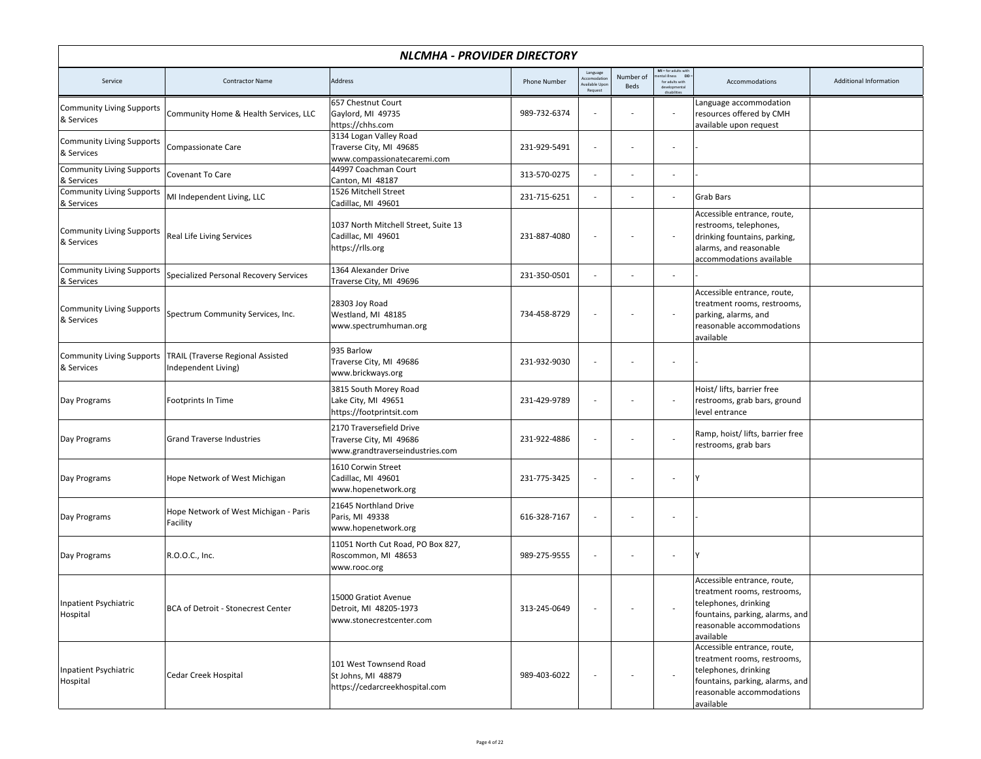|                                                | NLCMHA - PROVIDER DIRECTORY                                     |                                                                                        |                     |                                                   |                   |                                                            |                                                                                                                                                                 |                        |  |  |  |  |
|------------------------------------------------|-----------------------------------------------------------------|----------------------------------------------------------------------------------------|---------------------|---------------------------------------------------|-------------------|------------------------------------------------------------|-----------------------------------------------------------------------------------------------------------------------------------------------------------------|------------------------|--|--|--|--|
| Service                                        | <b>Contractor Name</b>                                          | Address                                                                                | <b>Phone Number</b> | Language<br>ccomodatio<br>ailable Upor<br>Request | Number of<br>Beds | MI = for adults with<br>ntal illness DD<br>for adults with | Accommodations                                                                                                                                                  | Additional Information |  |  |  |  |
| <b>Community Living Supports</b><br>& Services | Community Home & Health Services, LLC                           | 657 Chestnut Court<br>Gaylord, MI 49735<br>https://chhs.com                            | 989-732-6374        | $\overline{\phantom{a}}$                          |                   |                                                            | Language accommodation<br>resources offered by CMH<br>available upon request                                                                                    |                        |  |  |  |  |
| <b>Community Living Supports</b><br>& Services | Compassionate Care                                              | 3134 Logan Valley Road<br>Traverse City, MI 49685<br>www.compassionatecaremi.com       | 231-929-5491        | $\overline{\phantom{a}}$                          |                   |                                                            |                                                                                                                                                                 |                        |  |  |  |  |
| <b>Community Living Supports</b><br>& Services | Covenant To Care                                                | 44997 Coachman Court<br>Canton, MI 48187                                               | 313-570-0275        |                                                   |                   |                                                            |                                                                                                                                                                 |                        |  |  |  |  |
| <b>Community Living Supports</b><br>& Services | MI Independent Living, LLC                                      | 1526 Mitchell Street<br>Cadillac, MI 49601                                             | 231-715-6251        |                                                   |                   |                                                            | Grab Bars                                                                                                                                                       |                        |  |  |  |  |
| <b>Community Living Supports</b><br>& Services | Real Life Living Services                                       | 1037 North Mitchell Street, Suite 13<br>Cadillac, MI 49601<br>https://rlls.org         | 231-887-4080        |                                                   |                   |                                                            | Accessible entrance, route,<br>restrooms, telephones,<br>drinking fountains, parking,<br>alarms, and reasonable<br>accommodations available                     |                        |  |  |  |  |
| <b>Community Living Supports</b><br>& Services | Specialized Personal Recovery Services                          | 1364 Alexander Drive<br>Traverse City, MI 49696                                        | 231-350-0501        | $\overline{\phantom{a}}$                          |                   |                                                            |                                                                                                                                                                 |                        |  |  |  |  |
| <b>Community Living Supports</b><br>& Services | Spectrum Community Services, Inc.                               | 28303 Joy Road<br>Westland, MI 48185<br>www.spectrumhuman.org                          | 734-458-8729        | $\overline{\phantom{a}}$                          |                   |                                                            | Accessible entrance, route,<br>treatment rooms, restrooms,<br>parking, alarms, and<br>reasonable accommodations<br>available                                    |                        |  |  |  |  |
| <b>Community Living Supports</b><br>& Services | <b>TRAIL (Traverse Regional Assisted</b><br>Independent Living) | 935 Barlow<br>Traverse City, MI 49686<br>www.brickways.org                             | 231-932-9030        |                                                   |                   |                                                            |                                                                                                                                                                 |                        |  |  |  |  |
| Day Programs                                   | Footprints In Time                                              | 3815 South Morey Road<br>Lake City, MI 49651<br>https://footprintsit.com               | 231-429-9789        | $\overline{\phantom{a}}$                          |                   | $\sim$                                                     | Hoist/ lifts, barrier free<br>restrooms, grab bars, ground<br>level entrance                                                                                    |                        |  |  |  |  |
| Day Programs                                   | <b>Grand Traverse Industries</b>                                | 2170 Traversefield Drive<br>Traverse City, MI 49686<br>www.grandtraverseindustries.com | 231-922-4886        |                                                   |                   |                                                            | Ramp, hoist/ lifts, barrier free<br>restrooms, grab bars                                                                                                        |                        |  |  |  |  |
| Day Programs                                   | Hope Network of West Michigan                                   | 1610 Corwin Street<br>Cadillac, MI 49601<br>www.hopenetwork.org                        | 231-775-3425        | $\overline{\phantom{a}}$                          |                   |                                                            |                                                                                                                                                                 |                        |  |  |  |  |
| Day Programs                                   | Hope Network of West Michigan - Paris<br>Facility               | 21645 Northland Drive<br>Paris, MI 49338<br>www.hopenetwork.org                        | 616-328-7167        |                                                   |                   |                                                            |                                                                                                                                                                 |                        |  |  |  |  |
| Day Programs                                   | R.O.O.C., Inc.                                                  | 11051 North Cut Road, PO Box 827,<br>Roscommon, MI 48653<br>www.rooc.org               | 989-275-9555        | $\overline{\phantom{a}}$                          |                   |                                                            |                                                                                                                                                                 |                        |  |  |  |  |
| Inpatient Psychiatric<br>Hospital              | BCA of Detroit - Stonecrest Center                              | 15000 Gratiot Avenue<br>Detroit, MI 48205-1973<br>www.stonecrestcenter.com             | 313-245-0649        |                                                   |                   |                                                            | Accessible entrance, route,<br>treatment rooms, restrooms,<br>telephones, drinking<br>fountains, parking, alarms, and<br>reasonable accommodations<br>available |                        |  |  |  |  |
| Inpatient Psychiatric<br>Hospital              | Cedar Creek Hospital                                            | 101 West Townsend Road<br>St Johns, MI 48879<br>https://cedarcreekhospital.com         | 989-403-6022        | $\overline{\phantom{a}}$                          |                   |                                                            | Accessible entrance, route,<br>treatment rooms, restrooms,<br>telephones, drinking<br>fountains, parking, alarms, and<br>reasonable accommodations<br>available |                        |  |  |  |  |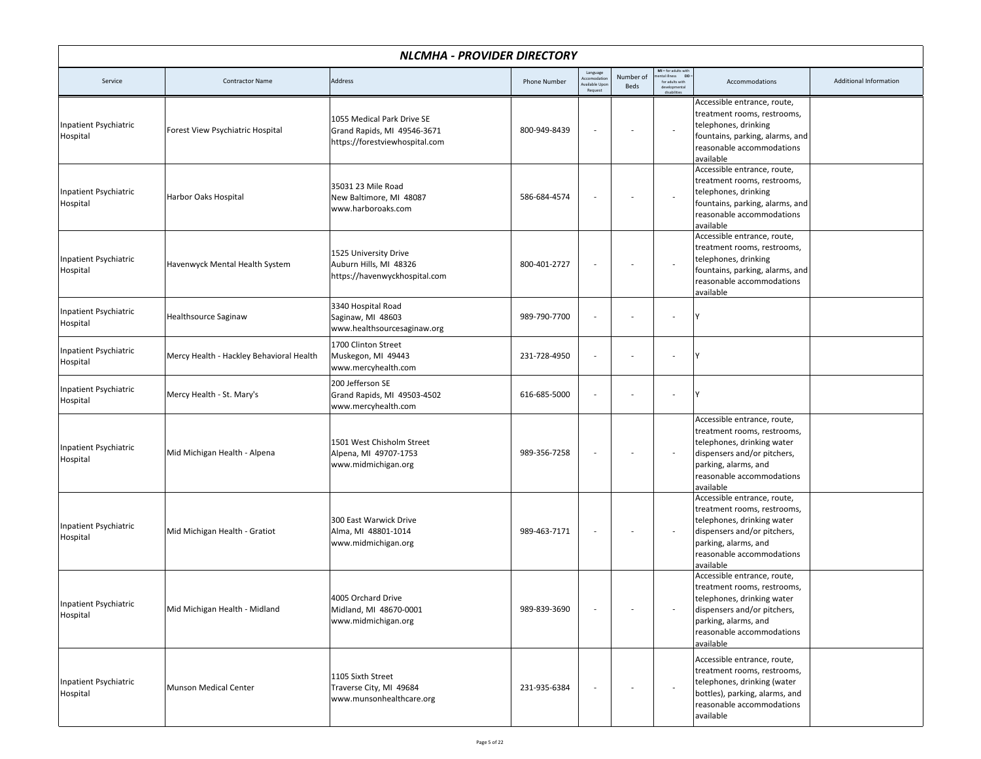|                                          | <b>NLCMHA - PROVIDER DIRECTORY</b>       |                                                                                             |                     |                                                      |                   |                                                                                          |                                                                                                                                                                                           |                        |  |  |  |
|------------------------------------------|------------------------------------------|---------------------------------------------------------------------------------------------|---------------------|------------------------------------------------------|-------------------|------------------------------------------------------------------------------------------|-------------------------------------------------------------------------------------------------------------------------------------------------------------------------------------------|------------------------|--|--|--|
| Service                                  | <b>Contractor Name</b>                   | Address                                                                                     | <b>Phone Number</b> | Language<br>Accomodation<br>wailable Upor<br>Request | Number of<br>Beds | MI = for adults with<br>tental illness DD:<br>for adults with<br>developm<br>disabilitie | Accommodations                                                                                                                                                                            | Additional Information |  |  |  |
| Inpatient Psychiatric<br>Hospital        | Forest View Psychiatric Hospital         | 1055 Medical Park Drive SE<br>Grand Rapids, MI 49546-3671<br>https://forestviewhospital.com | 800-949-8439        |                                                      |                   |                                                                                          | Accessible entrance, route,<br>treatment rooms, restrooms,<br>telephones, drinking<br>fountains, parking, alarms, and<br>reasonable accommodations<br>available                           |                        |  |  |  |
| Inpatient Psychiatric<br>Hospital        | Harbor Oaks Hospital                     | 35031 23 Mile Road<br>New Baltimore, MI 48087<br>www.harboroaks.com                         | 586-684-4574        |                                                      |                   | $\sim$                                                                                   | Accessible entrance, route,<br>treatment rooms, restrooms,<br>telephones, drinking<br>fountains, parking, alarms, and<br>reasonable accommodations<br>available                           |                        |  |  |  |
| Inpatient Psychiatric<br>Hospital        | Havenwyck Mental Health System           | 1525 University Drive<br>Auburn Hills, MI 48326<br>https://havenwyckhospital.com            | 800-401-2727        |                                                      |                   |                                                                                          | Accessible entrance, route,<br>treatment rooms, restrooms,<br>telephones, drinking<br>fountains, parking, alarms, and<br>reasonable accommodations<br>available                           |                        |  |  |  |
| Inpatient Psychiatric<br>Hospital        | Healthsource Saginaw                     | 3340 Hospital Road<br>Saginaw, MI 48603<br>www.healthsourcesaginaw.org                      | 989-790-7700        |                                                      |                   |                                                                                          |                                                                                                                                                                                           |                        |  |  |  |
| Inpatient Psychiatric<br>Hospital        | Mercy Health - Hackley Behavioral Health | 1700 Clinton Street<br>Muskegon, MI 49443<br>www.mercyhealth.com                            | 231-728-4950        |                                                      |                   |                                                                                          |                                                                                                                                                                                           |                        |  |  |  |
| Inpatient Psychiatric<br>Hospital        | Mercy Health - St. Mary's                | 200 Jefferson SE<br>Grand Rapids, MI 49503-4502<br>www.mercyhealth.com                      | 616-685-5000        |                                                      |                   | $\sim$                                                                                   |                                                                                                                                                                                           |                        |  |  |  |
| Inpatient Psychiatric<br>Hospital        | Mid Michigan Health - Alpena             | 1501 West Chisholm Street<br>Alpena, MI 49707-1753<br>www.midmichigan.org                   | 989-356-7258        |                                                      |                   | $\overline{\phantom{a}}$                                                                 | Accessible entrance, route,<br>treatment rooms, restrooms,<br>telephones, drinking water<br>dispensers and/or pitchers,<br>parking, alarms, and<br>reasonable accommodations<br>available |                        |  |  |  |
| Inpatient Psychiatric<br>Hospital        | Mid Michigan Health - Gratiot            | 300 East Warwick Drive<br>Alma, MI 48801-1014<br>www.midmichigan.org                        | 989-463-7171        |                                                      |                   |                                                                                          | Accessible entrance, route,<br>treatment rooms, restrooms,<br>telephones, drinking water<br>dispensers and/or pitchers,<br>parking, alarms, and<br>reasonable accommodations<br>available |                        |  |  |  |
| <b>Inpatient Psychiatric</b><br>Hospital | Mid Michigan Health - Midland            | 4005 Orchard Drive<br>Midland, MI 48670-0001<br>www.midmichigan.org                         | 989-839-3690        |                                                      |                   |                                                                                          | Accessible entrance, route,<br>treatment rooms, restrooms,<br>telephones, drinking water<br>dispensers and/or pitchers,<br>parking, alarms, and<br>reasonable accommodations<br>available |                        |  |  |  |
| Inpatient Psychiatric<br>Hospital        | Munson Medical Center                    | 1105 Sixth Street<br>Traverse City, MI 49684<br>www.munsonhealthcare.org                    | 231-935-6384        |                                                      |                   | $\sim$                                                                                   | Accessible entrance, route,<br>treatment rooms, restrooms,<br>telephones, drinking (water<br>bottles), parking, alarms, and<br>reasonable accommodations<br>available                     |                        |  |  |  |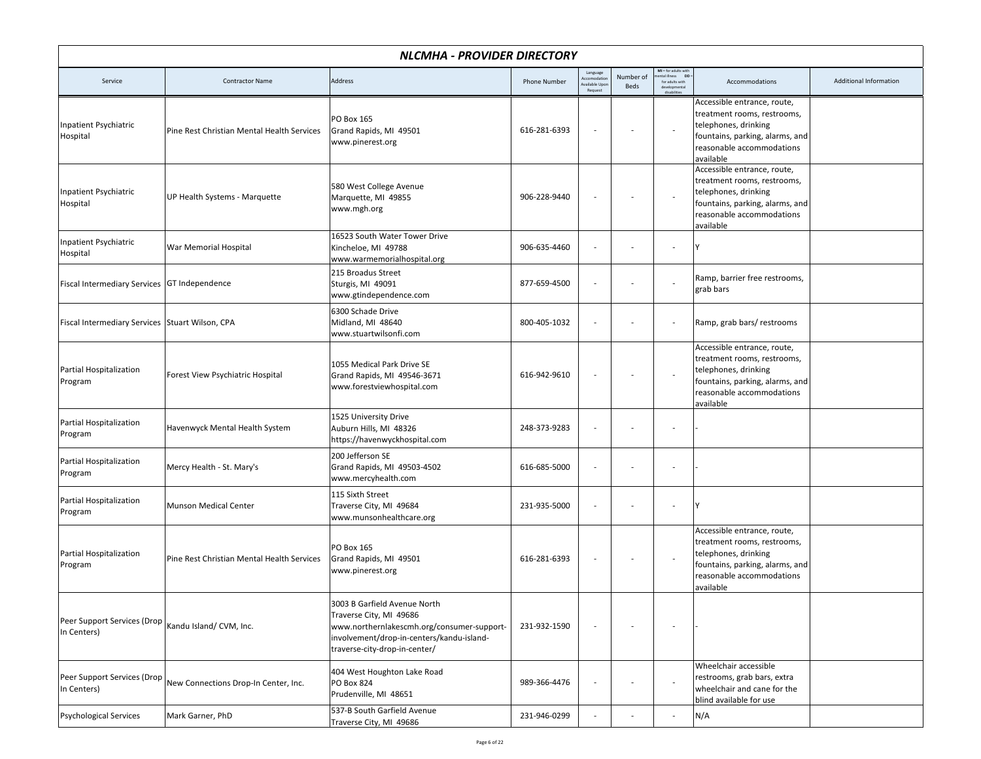|                                                 | <b>NLCMHA - PROVIDER DIRECTORY</b>         |                                                                                                                                                                                     |                     |                                                      |                   |                                                                                                |                                                                                                                                                                 |                        |  |  |
|-------------------------------------------------|--------------------------------------------|-------------------------------------------------------------------------------------------------------------------------------------------------------------------------------------|---------------------|------------------------------------------------------|-------------------|------------------------------------------------------------------------------------------------|-----------------------------------------------------------------------------------------------------------------------------------------------------------------|------------------------|--|--|
| Service                                         | <b>Contractor Name</b>                     | Address                                                                                                                                                                             | <b>Phone Number</b> | Language<br>Accomodation<br>wailable Upor<br>Request | Number of<br>Beds | MI = for adults with<br>tental illness DD :<br>for adults with<br>developmenta<br>disabilitie: | Accommodations                                                                                                                                                  | Additional Information |  |  |
| Inpatient Psychiatric<br>Hospital               | Pine Rest Christian Mental Health Services | PO Box 165<br>Grand Rapids, MI 49501<br>www.pinerest.org                                                                                                                            | 616-281-6393        |                                                      |                   | $\overline{\phantom{a}}$                                                                       | Accessible entrance, route,<br>treatment rooms, restrooms,<br>telephones, drinking<br>fountains, parking, alarms, and<br>reasonable accommodations<br>available |                        |  |  |
| Inpatient Psychiatric<br>Hospital               | UP Health Systems - Marquette              | 580 West College Avenue<br>Marquette, MI 49855<br>www.mgh.org                                                                                                                       | 906-228-9440        |                                                      |                   | $\overline{\phantom{a}}$                                                                       | Accessible entrance, route,<br>treatment rooms, restrooms,<br>telephones, drinking<br>fountains, parking, alarms, and<br>reasonable accommodations<br>available |                        |  |  |
| Inpatient Psychiatric<br>Hospital               | War Memorial Hospital                      | 16523 South Water Tower Drive<br>Kincheloe, MI 49788<br>www.warmemorialhospital.org                                                                                                 | 906-635-4460        |                                                      |                   |                                                                                                |                                                                                                                                                                 |                        |  |  |
| Fiscal Intermediary Services GT Independence    |                                            | 215 Broadus Street<br>Sturgis, MI 49091<br>www.gtindependence.com                                                                                                                   | 877-659-4500        |                                                      |                   | $\overline{\phantom{a}}$                                                                       | Ramp, barrier free restrooms,<br>grab bars                                                                                                                      |                        |  |  |
| Fiscal Intermediary Services Stuart Wilson, CPA |                                            | 6300 Schade Drive<br>Midland, MI 48640<br>www.stuartwilsonfi.com                                                                                                                    | 800-405-1032        |                                                      |                   | $\overline{\phantom{a}}$                                                                       | Ramp, grab bars/ restrooms                                                                                                                                      |                        |  |  |
| Partial Hospitalization<br>Program              | Forest View Psychiatric Hospital           | 1055 Medical Park Drive SE<br>Grand Rapids, MI 49546-3671<br>www.forestviewhospital.com                                                                                             | 616-942-9610        |                                                      |                   | $\overline{\phantom{a}}$                                                                       | Accessible entrance, route,<br>treatment rooms, restrooms,<br>telephones, drinking<br>fountains, parking, alarms, and<br>reasonable accommodations<br>available |                        |  |  |
| Partial Hospitalization<br>Program              | Havenwyck Mental Health System             | 1525 University Drive<br>Auburn Hills, MI 48326<br>https://havenwyckhospital.com                                                                                                    | 248-373-9283        |                                                      |                   |                                                                                                |                                                                                                                                                                 |                        |  |  |
| Partial Hospitalization<br>Program              | Mercy Health - St. Mary's                  | 200 Jefferson SE<br>Grand Rapids, MI 49503-4502<br>www.mercyhealth.com                                                                                                              | 616-685-5000        |                                                      |                   |                                                                                                |                                                                                                                                                                 |                        |  |  |
| Partial Hospitalization<br>Program              | <b>Munson Medical Center</b>               | 115 Sixth Street<br>Traverse City, MI 49684<br>www.munsonhealthcare.org                                                                                                             | 231-935-5000        |                                                      |                   | $\overline{\phantom{a}}$                                                                       |                                                                                                                                                                 |                        |  |  |
| Partial Hospitalization<br>Program              | Pine Rest Christian Mental Health Services | PO Box 165<br>Grand Rapids, MI 49501<br>www.pinerest.org                                                                                                                            | 616-281-6393        |                                                      |                   | $\overline{\phantom{a}}$                                                                       | Accessible entrance, route,<br>treatment rooms, restrooms,<br>telephones, drinking<br>fountains, parking, alarms, and<br>reasonable accommodations<br>available |                        |  |  |
| Peer Support Services (Drop<br>In Centers)      | Kandu Island/ CVM, Inc.                    | 3003 B Garfield Avenue North<br>Traverse City, MI 49686<br>www.northernlakescmh.org/consumer-support-<br>involvement/drop-in-centers/kandu-island-<br>traverse-city-drop-in-center/ | 231-932-1590        |                                                      |                   |                                                                                                |                                                                                                                                                                 |                        |  |  |
| Peer Support Services (Drop<br>In Centers)      | New Connections Drop-In Center, Inc.       | 404 West Houghton Lake Road<br>PO Box 824<br>Prudenville, MI 48651                                                                                                                  | 989-366-4476        |                                                      |                   |                                                                                                | Wheelchair accessible<br>restrooms, grab bars, extra<br>wheelchair and cane for the<br>blind available for use                                                  |                        |  |  |
| <b>Psychological Services</b>                   | Mark Garner, PhD                           | 537-B South Garfield Avenue<br>Traverse City, MI 49686                                                                                                                              | 231-946-0299        |                                                      |                   | $\sim$                                                                                         | N/A                                                                                                                                                             |                        |  |  |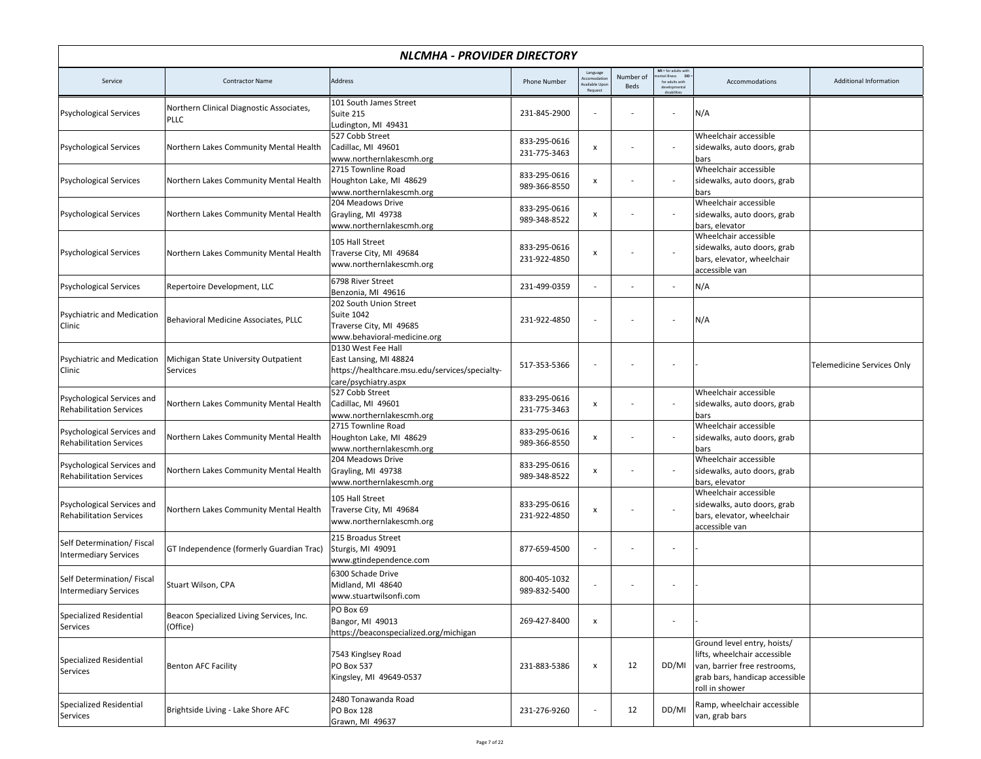|                                                              | NLCMHA - PROVIDER DIRECTORY                             |                                                                                                                        |                              |                                                  |                   |                                                                                         |                                                                                                                                                 |                                   |  |  |
|--------------------------------------------------------------|---------------------------------------------------------|------------------------------------------------------------------------------------------------------------------------|------------------------------|--------------------------------------------------|-------------------|-----------------------------------------------------------------------------------------|-------------------------------------------------------------------------------------------------------------------------------------------------|-----------------------------------|--|--|
| Service                                                      | <b>Contractor Name</b>                                  | <b>Address</b>                                                                                                         | <b>Phone Number</b>          | Language<br>ccomodatio<br>vailable Up<br>Request | Number of<br>Beds | $\mathsf{MI}$ = for adults with<br>ntal illness DD =<br>for adults with<br>die shiftsie | Accommodations                                                                                                                                  | Additional Information            |  |  |
| <b>Psychological Services</b>                                | Northern Clinical Diagnostic Associates,<br><b>PLLC</b> | 101 South James Street<br>Suite 215<br>Ludington, MI 49431                                                             | 231-845-2900                 | ÷,                                               |                   | $\overline{\phantom{a}}$                                                                | N/A                                                                                                                                             |                                   |  |  |
| <b>Psychological Services</b>                                | Northern Lakes Community Mental Health                  | 527 Cobb Street<br>Cadillac, MI 49601<br>www.northernlakescmh.org                                                      | 833-295-0616<br>231-775-3463 | x                                                |                   |                                                                                         | Wheelchair accessible<br>sidewalks, auto doors, grab<br>bars                                                                                    |                                   |  |  |
| <b>Psychological Services</b>                                | Northern Lakes Community Mental Health                  | 2715 Townline Road<br>Houghton Lake, MI 48629<br>www.northernlakescmh.org                                              | 833-295-0616<br>989-366-8550 | x                                                |                   |                                                                                         | Wheelchair accessible<br>sidewalks, auto doors, grab<br>bars                                                                                    |                                   |  |  |
| <b>Psychological Services</b>                                | Northern Lakes Community Mental Health                  | 204 Meadows Drive<br>Grayling, MI 49738<br>www.northernlakescmh.org                                                    | 833-295-0616<br>989-348-8522 | x                                                |                   |                                                                                         | Wheelchair accessible<br>sidewalks, auto doors, grab<br>bars, elevator                                                                          |                                   |  |  |
| <b>Psychological Services</b>                                | Northern Lakes Community Mental Health                  | 105 Hall Street<br>Traverse City, MI 49684<br>www.northernlakescmh.org                                                 | 833-295-0616<br>231-922-4850 | x                                                |                   |                                                                                         | Wheelchair accessible<br>sidewalks, auto doors, grab<br>bars, elevator, wheelchair<br>accessible van                                            |                                   |  |  |
| <b>Psychological Services</b>                                | Repertoire Development, LLC                             | 6798 River Street<br>Benzonia, MI 49616                                                                                | 231-499-0359                 |                                                  |                   |                                                                                         | N/A                                                                                                                                             |                                   |  |  |
| Psychiatric and Medication<br>Clinic                         | Behavioral Medicine Associates, PLLC                    | 202 South Union Street<br><b>Suite 1042</b><br>Traverse City, MI 49685<br>www.behavioral-medicine.org                  | 231-922-4850                 | ÷,                                               |                   |                                                                                         | N/A                                                                                                                                             |                                   |  |  |
| <b>Psychiatric and Medication</b><br>Clinic                  | Michigan State University Outpatient<br>Services        | D130 West Fee Hall<br>East Lansing, MI 48824<br>https://healthcare.msu.edu/services/specialty-<br>care/psychiatry.aspx | 517-353-5366                 | ÷,                                               |                   | $\overline{\phantom{a}}$                                                                |                                                                                                                                                 | <b>Telemedicine Services Only</b> |  |  |
| Psychological Services and<br><b>Rehabilitation Services</b> | Northern Lakes Community Mental Health                  | 527 Cobb Street<br>Cadillac, MI 49601<br>www.northernlakescmh.org                                                      | 833-295-0616<br>231-775-3463 | x                                                |                   | $\overline{\phantom{a}}$                                                                | Wheelchair accessible<br>sidewalks, auto doors, grab<br>bars                                                                                    |                                   |  |  |
| Psychological Services and<br><b>Rehabilitation Services</b> | Northern Lakes Community Mental Health                  | 2715 Townline Road<br>Houghton Lake, MI 48629<br>www.northernlakescmh.org                                              | 833-295-0616<br>989-366-8550 | x                                                |                   |                                                                                         | Wheelchair accessible<br>sidewalks, auto doors, grab<br>bars                                                                                    |                                   |  |  |
| Psychological Services and<br><b>Rehabilitation Services</b> | Northern Lakes Community Mental Health                  | 204 Meadows Drive<br>Grayling, MI 49738<br>www.northernlakescmh.org                                                    | 833-295-0616<br>989-348-8522 | x                                                |                   |                                                                                         | Wheelchair accessible<br>sidewalks, auto doors, grab<br>bars, elevator                                                                          |                                   |  |  |
| Psychological Services and<br><b>Rehabilitation Services</b> | Northern Lakes Community Mental Health                  | 105 Hall Street<br>Traverse City, MI 49684<br>www.northernlakescmh.org                                                 | 833-295-0616<br>231-922-4850 | x                                                |                   |                                                                                         | Wheelchair accessible<br>sidewalks, auto doors, grab<br>bars, elevator, wheelchair<br>accessible van                                            |                                   |  |  |
| Self Determination/Fiscal<br><b>Intermediary Services</b>    | GT Independence (formerly Guardian Trac)                | 215 Broadus Street<br>Sturgis, MI 49091<br>www.gtindependence.com                                                      | 877-659-4500                 | $\overline{a}$                                   |                   |                                                                                         |                                                                                                                                                 |                                   |  |  |
| Self Determination/Fiscal<br><b>Intermediary Services</b>    | Stuart Wilson, CPA                                      | 6300 Schade Drive<br>Midland, MI 48640<br>www.stuartwilsonfi.com                                                       | 800-405-1032<br>989-832-5400 |                                                  |                   |                                                                                         |                                                                                                                                                 |                                   |  |  |
| Specialized Residential<br>Services                          | Beacon Specialized Living Services, Inc.<br>(Office)    | PO Box 69<br>Bangor, MI 49013<br>https://beaconspecialized.org/michigan                                                | 269-427-8400                 | x                                                |                   |                                                                                         |                                                                                                                                                 |                                   |  |  |
| Specialized Residential<br>Services                          | <b>Benton AFC Facility</b>                              | 7543 Kinglsey Road<br>PO Box 537<br>Kingsley, MI 49649-0537                                                            | 231-883-5386                 | x                                                | 12                | DD/MI                                                                                   | Ground level entry, hoists/<br>lifts, wheelchair accessible<br>van, barrier free restrooms,<br>grab bars, handicap accessible<br>roll in shower |                                   |  |  |
| Specialized Residential<br>Services                          | Brightside Living - Lake Shore AFC                      | 2480 Tonawanda Road<br>PO Box 128<br>Grawn, MI 49637                                                                   | 231-276-9260                 |                                                  | 12                | DD/MI                                                                                   | Ramp, wheelchair accessible<br>van, grab bars                                                                                                   |                                   |  |  |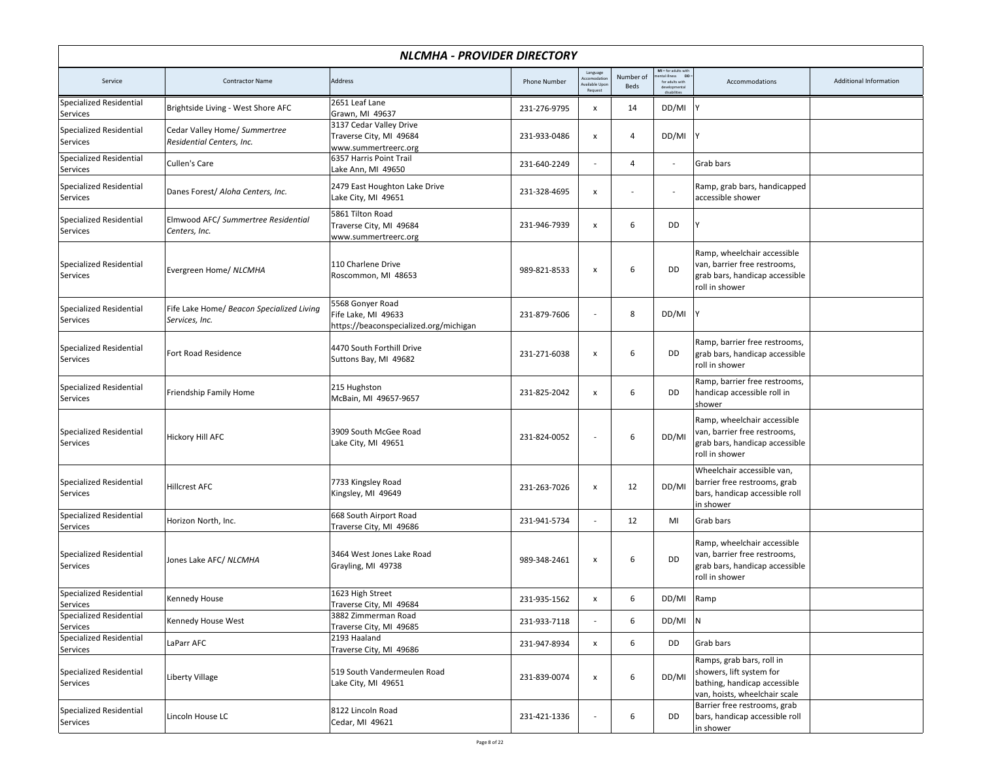| NLCMHA - PROVIDER DIRECTORY                |                                                             |                                                                                   |                     |                                                  |                   |                                                               |                                                                                                                        |                        |  |
|--------------------------------------------|-------------------------------------------------------------|-----------------------------------------------------------------------------------|---------------------|--------------------------------------------------|-------------------|---------------------------------------------------------------|------------------------------------------------------------------------------------------------------------------------|------------------------|--|
| Service                                    | <b>Contractor Name</b>                                      | Address                                                                           | <b>Phone Number</b> | Language<br>ccomodatio<br>ailable Upo<br>Request | Number of<br>Beds | MI = for adults with<br>DD<br>ntal illness<br>for adults with | Accommodations                                                                                                         | Additional Information |  |
| Specialized Residential<br>Services        | Brightside Living - West Shore AFC                          | 2651 Leaf Lane<br>Grawn, MI 49637                                                 | 231-276-9795        | x                                                | 14                | DD/MI                                                         |                                                                                                                        |                        |  |
| <b>Specialized Residential</b><br>Services | Cedar Valley Home/ Summertree<br>Residential Centers, Inc.  | 3137 Cedar Valley Drive<br>Traverse City, MI 49684<br>www.summertreerc.org        | 231-933-0486        | $\pmb{\mathsf{x}}$                               | $\overline{4}$    | DD/MI                                                         |                                                                                                                        |                        |  |
| <b>Specialized Residential</b><br>Services | Cullen's Care                                               | 6357 Harris Point Trail<br>Lake Ann, MI 49650                                     | 231-640-2249        |                                                  | $\overline{4}$    | $\sim$                                                        | Grab bars                                                                                                              |                        |  |
| <b>Specialized Residential</b><br>Services | Danes Forest/ Aloha Centers, Inc.                           | 2479 East Houghton Lake Drive<br>Lake City, MI 49651                              | 231-328-4695        | $\pmb{\mathsf{x}}$                               |                   |                                                               | Ramp, grab bars, handicapped<br>accessible shower                                                                      |                        |  |
| Specialized Residential<br>Services        | Elmwood AFC/ Summertree Residential<br>Centers, Inc.        | 5861 Tilton Road<br>Traverse City, MI 49684<br>www.summertreerc.org               | 231-946-7939        | $\pmb{\mathsf{x}}$                               | 6                 | DD                                                            |                                                                                                                        |                        |  |
| Specialized Residential<br>Services        | Evergreen Home/ NLCMHA                                      | 110 Charlene Drive<br>Roscommon, MI 48653                                         | 989-821-8533        | $\pmb{\mathsf{x}}$                               | 6                 | DD                                                            | Ramp, wheelchair accessible<br>van, barrier free restrooms,<br>grab bars, handicap accessible<br>roll in shower        |                        |  |
| Specialized Residential<br>Services        | Fife Lake Home/ Beacon Specialized Living<br>Services, Inc. | 5568 Gonyer Road<br>Fife Lake. MI 49633<br>https://beaconspecialized.org/michigan | 231-879-7606        | $\overline{\phantom{a}}$                         | 8                 | DD/MI                                                         |                                                                                                                        |                        |  |
| <b>Specialized Residential</b><br>Services | Fort Road Residence                                         | 4470 South Forthill Drive<br>Suttons Bay, MI 49682                                | 231-271-6038        | $\pmb{\mathsf{x}}$                               | 6                 | DD                                                            | Ramp, barrier free restrooms,<br>grab bars, handicap accessible<br>roll in shower                                      |                        |  |
| <b>Specialized Residential</b><br>Services | Friendship Family Home                                      | 215 Hughston<br>McBain, MI 49657-9657                                             | 231-825-2042        | $\pmb{\mathsf{x}}$                               | 6                 | DD                                                            | Ramp, barrier free restrooms,<br>handicap accessible roll in<br>shower                                                 |                        |  |
| <b>Specialized Residential</b><br>Services | Hickory Hill AFC                                            | 3909 South McGee Road<br>Lake City, MI 49651                                      | 231-824-0052        | $\overline{\phantom{a}}$                         | 6                 | DD/MI                                                         | Ramp, wheelchair accessible<br>van, barrier free restrooms,<br>grab bars, handicap accessible<br>roll in shower        |                        |  |
| <b>Specialized Residential</b><br>Services | <b>Hillcrest AFC</b>                                        | 7733 Kingsley Road<br>Kingsley, MI 49649                                          | 231-263-7026        | X                                                | 12                | DD/MI                                                         | Wheelchair accessible van,<br>barrier free restrooms, grab<br>bars, handicap accessible roll<br>in shower              |                        |  |
| Specialized Residential<br>Services        | Horizon North, Inc.                                         | 668 South Airport Road<br>Traverse City, MI 49686                                 | 231-941-5734        | $\overline{\phantom{a}}$                         | 12                | MI                                                            | Grab bars                                                                                                              |                        |  |
| <b>Specialized Residential</b><br>Services | Jones Lake AFC/ NLCMHA                                      | 3464 West Jones Lake Road<br>Grayling, MI 49738                                   | 989-348-2461        | $\pmb{\mathsf{x}}$                               | 6                 | DD                                                            | Ramp, wheelchair accessible<br>van, barrier free restrooms,<br>grab bars, handicap accessible<br>roll in shower        |                        |  |
| <b>Specialized Residential</b><br>Services | Kennedy House                                               | 1623 High Street<br>Traverse City, MI 49684                                       | 231-935-1562        | х                                                |                   | DD/MI Ramp                                                    |                                                                                                                        |                        |  |
| <b>Specialized Residential</b><br>Services | Kennedy House West                                          | 3882 Zimmerman Road<br>Traverse City, MI 49685                                    | 231-933-7118        |                                                  | 6                 | $DD/MI$ N                                                     |                                                                                                                        |                        |  |
| Specialized Residential<br>Services        | LaParr AFC                                                  | 2193 Haaland<br>Traverse City, MI 49686                                           | 231-947-8934        | x                                                | 6                 | DD                                                            | Grab bars                                                                                                              |                        |  |
| Specialized Residential<br>Services        | Liberty Village                                             | 519 South Vandermeulen Road<br>Lake City, MI 49651                                | 231-839-0074        | $\pmb{\mathsf{x}}$                               | 6                 | DD/MI                                                         | Ramps, grab bars, roll in<br>showers, lift system for<br>bathing, handicap accessible<br>van, hoists, wheelchair scale |                        |  |
| Specialized Residential<br>Services        | Lincoln House LC                                            | 8122 Lincoln Road<br>Cedar, MI 49621                                              | 231-421-1336        | $\overline{\phantom{a}}$                         | 6                 | DD                                                            | Barrier free restrooms, grab<br>bars, handicap accessible roll<br>in shower                                            |                        |  |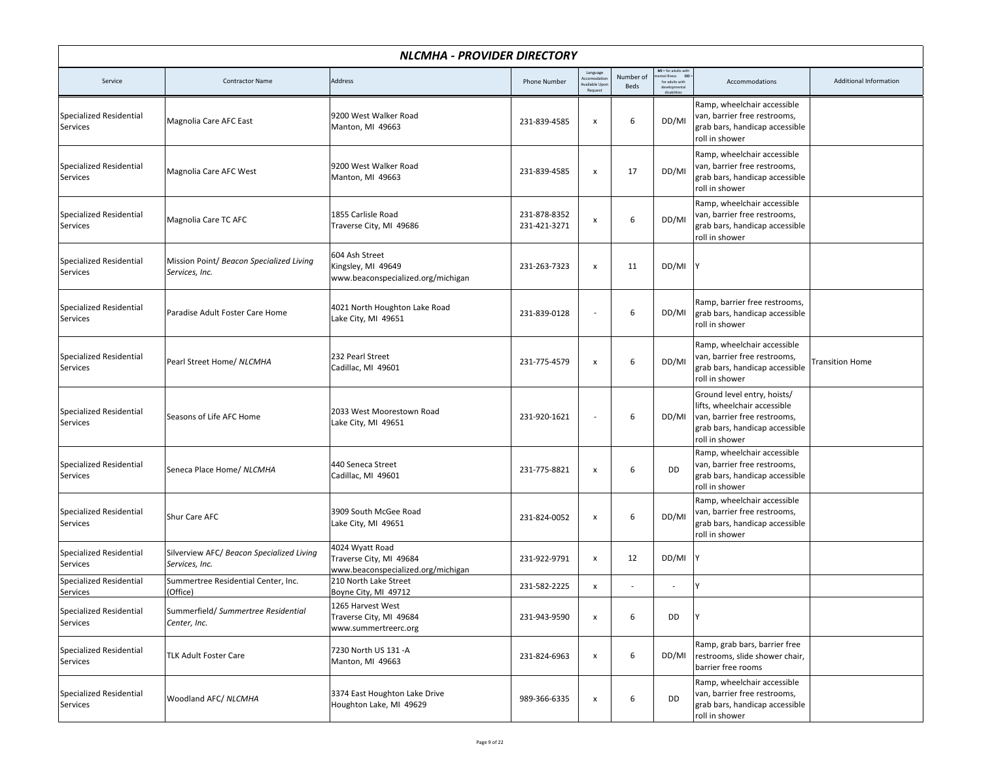|                                            | <b>NLCMHA - PROVIDER DIRECTORY</b>                          |                                                                                  |                              |                                                     |                   |                                                                        |                                                                                                                                                 |                        |  |  |
|--------------------------------------------|-------------------------------------------------------------|----------------------------------------------------------------------------------|------------------------------|-----------------------------------------------------|-------------------|------------------------------------------------------------------------|-------------------------------------------------------------------------------------------------------------------------------------------------|------------------------|--|--|
| Service                                    | <b>Contractor Name</b>                                      | Address                                                                          | <b>Phone Number</b>          | Language<br>kccomodation<br>vailable Upo<br>Request | Number of<br>Beds | MI = for adults with<br>tental illness DD =<br>for adults with<br>deve | Accommodations                                                                                                                                  | Additional Information |  |  |
| Specialized Residential<br>Services        | Magnolia Care AFC East                                      | 9200 West Walker Road<br>Manton, MI 49663                                        | 231-839-4585                 | X                                                   | 6                 | DD/MI                                                                  | Ramp, wheelchair accessible<br>van, barrier free restrooms,<br>grab bars, handicap accessible<br>roll in shower                                 |                        |  |  |
| Specialized Residential<br>Services        | Magnolia Care AFC West                                      | 9200 West Walker Road<br>Manton, MI 49663                                        | 231-839-4585                 | $\pmb{\mathsf{x}}$                                  | 17                | DD/MI                                                                  | Ramp, wheelchair accessible<br>van, barrier free restrooms,<br>grab bars, handicap accessible<br>roll in shower                                 |                        |  |  |
| <b>Specialized Residential</b><br>Services | Magnolia Care TC AFC                                        | 1855 Carlisle Road<br>Traverse City, MI 49686                                    | 231-878-8352<br>231-421-3271 | $\pmb{\mathsf{x}}$                                  | 6                 | DD/MI                                                                  | Ramp, wheelchair accessible<br>van, barrier free restrooms,<br>grab bars, handicap accessible<br>roll in shower                                 |                        |  |  |
| Specialized Residential<br>Services        | Mission Point/ Beacon Specialized Living<br>Services, Inc.  | 604 Ash Street<br>Kingsley, MI 49649<br>www.beaconspecialized.org/michigan       | 231-263-7323                 | x                                                   | 11                | DD/MI                                                                  |                                                                                                                                                 |                        |  |  |
| Specialized Residential<br>Services        | Paradise Adult Foster Care Home                             | 4021 North Houghton Lake Road<br>Lake City, MI 49651                             | 231-839-0128                 |                                                     | 6                 | DD/MI                                                                  | Ramp, barrier free restrooms,<br>grab bars, handicap accessible<br>roll in shower                                                               |                        |  |  |
| Specialized Residential<br>Services        | Pearl Street Home/ NLCMHA                                   | 232 Pearl Street<br>Cadillac, MI 49601                                           | 231-775-4579                 | x                                                   | 6                 | DD/MI                                                                  | Ramp, wheelchair accessible<br>van, barrier free restrooms,<br>grab bars, handicap accessible<br>roll in shower                                 | <b>Transition Home</b> |  |  |
| Specialized Residential<br>Services        | Seasons of Life AFC Home                                    | 2033 West Moorestown Road<br>Lake City, MI 49651                                 | 231-920-1621                 |                                                     | 6                 | DD/MI                                                                  | Ground level entry, hoists/<br>lifts, wheelchair accessible<br>van, barrier free restrooms,<br>grab bars, handicap accessible<br>roll in shower |                        |  |  |
| Specialized Residential<br>Services        | Seneca Place Home/ NLCMHA                                   | 440 Seneca Street<br>Cadillac, MI 49601                                          | 231-775-8821                 | X                                                   | 6                 | DD                                                                     | Ramp, wheelchair accessible<br>van, barrier free restrooms,<br>grab bars, handicap accessible<br>roll in shower                                 |                        |  |  |
| <b>Specialized Residential</b><br>Services | Shur Care AFC                                               | 3909 South McGee Road<br>Lake City, MI 49651                                     | 231-824-0052                 | $\pmb{\mathsf{x}}$                                  | 6                 | DD/MI                                                                  | Ramp, wheelchair accessible<br>van, barrier free restrooms,<br>grab bars, handicap accessible<br>roll in shower                                 |                        |  |  |
| Specialized Residential<br>Services        | Silverview AFC/ Beacon Specialized Living<br>Services, Inc. | 4024 Wyatt Road<br>Traverse City, MI 49684<br>www.beaconspecialized.org/michigan | 231-922-9791                 | X                                                   | 12                | DD/MI                                                                  |                                                                                                                                                 |                        |  |  |
| Specialized Residential<br>Services        | Summertree Residential Center, Inc.<br>(Office)             | 210 North Lake Street<br>Boyne City, MI 49712                                    | 231-582-2225                 | x                                                   |                   |                                                                        | ١V                                                                                                                                              |                        |  |  |
| Specialized Residential<br>Services        | Summerfield/ Summertree Residential<br>Center, Inc.         | 1265 Harvest West<br>Traverse City, MI 49684<br>www.summertreerc.org             | 231-943-9590                 | $\pmb{\mathsf{x}}$                                  | 6                 | DD                                                                     |                                                                                                                                                 |                        |  |  |
| Specialized Residential<br>Services        | TLK Adult Foster Care                                       | 7230 North US 131 - A<br>Manton, MI 49663                                        | 231-824-6963                 | $\pmb{\mathsf{x}}$                                  | 6                 | DD/MI                                                                  | Ramp, grab bars, barrier free<br>restrooms, slide shower chair,<br>barrier free rooms                                                           |                        |  |  |
| Specialized Residential<br>Services        | Woodland AFC/ NLCMHA                                        | 3374 East Houghton Lake Drive<br>Houghton Lake, MI 49629                         | 989-366-6335                 | x                                                   | 6                 | DD                                                                     | Ramp, wheelchair accessible<br>van, barrier free restrooms,<br>grab bars, handicap accessible<br>roll in shower                                 |                        |  |  |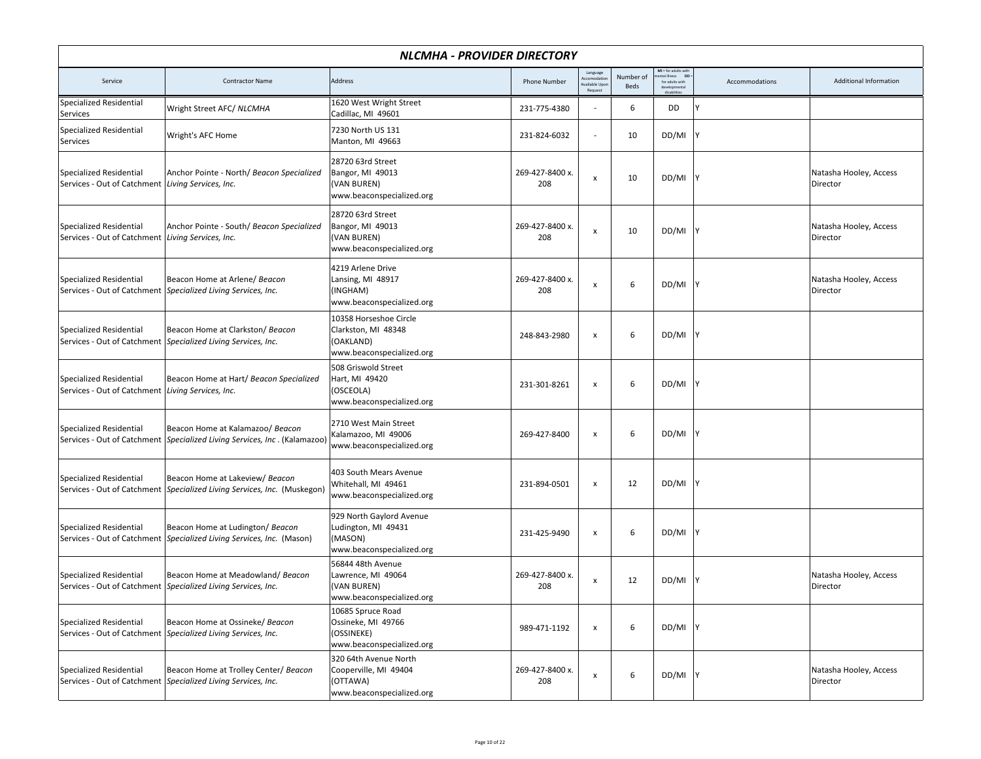|                                                                                     | <b>NLCMHA - PROVIDER DIRECTORY</b>                                                                              |                                                                                         |                        |                                                    |                   |                                                                                     |                |                                    |  |  |  |  |
|-------------------------------------------------------------------------------------|-----------------------------------------------------------------------------------------------------------------|-----------------------------------------------------------------------------------------|------------------------|----------------------------------------------------|-------------------|-------------------------------------------------------------------------------------|----------------|------------------------------------|--|--|--|--|
| Service                                                                             | <b>Contractor Name</b>                                                                                          | Address                                                                                 | <b>Phone Number</b>    | Language<br>kccomodatio<br>vailable Upo<br>Request | Number of<br>Beds | MI = for adults with<br>ntal illness<br><b>DD</b><br>for adults with<br>disabilitie | Accommodations | Additional Information             |  |  |  |  |
| Specialized Residential<br>Services                                                 | Wright Street AFC/ NLCMHA                                                                                       | 1620 West Wright Street<br>Cadillac, MI 49601                                           | 231-775-4380           | $\overline{\phantom{a}}$                           | 6                 | DD                                                                                  |                |                                    |  |  |  |  |
| <b>Specialized Residential</b><br>Services                                          | Wright's AFC Home                                                                                               | 7230 North US 131<br>Manton, MI 49663                                                   | 231-824-6032           | $\overline{\phantom{a}}$                           | 10                | DD/MI                                                                               |                |                                    |  |  |  |  |
| <b>Specialized Residential</b><br>Services - Out of Catchment Living Services, Inc. | Anchor Pointe - North/ Beacon Specialized                                                                       | 28720 63rd Street<br>Bangor, MI 49013<br>(VAN BUREN)<br>www.beaconspecialized.org       | 269-427-8400 x.<br>208 | $\pmb{\times}$                                     | 10                | DD/MI                                                                               |                | Natasha Hooley, Access<br>Director |  |  |  |  |
| <b>Specialized Residential</b><br>Services - Out of Catchment                       | Anchor Pointe - South/ Beacon Specialized<br>Living Services, Inc.                                              | 28720 63rd Street<br>Bangor, MI 49013<br>(VAN BUREN)<br>www.beaconspecialized.org       | 269-427-8400 x.<br>208 | $\pmb{\times}$                                     | 10                | DD/MI                                                                               |                | Natasha Hooley, Access<br>Director |  |  |  |  |
| <b>Specialized Residential</b>                                                      | Beacon Home at Arlene/ Beacon<br>Services - Out of Catchment Specialized Living Services, Inc.                  | 4219 Arlene Drive<br>Lansing, MI 48917<br>(INGHAM)<br>www.beaconspecialized.org         | 269-427-8400 x.<br>208 | $\pmb{\times}$                                     | 6                 | DD/MI                                                                               |                | Natasha Hooley, Access<br>Director |  |  |  |  |
| <b>Specialized Residential</b><br>Services - Out of Catchment                       | Beacon Home at Clarkston/ Beacon<br>Specialized Living Services, Inc.                                           | 10358 Horseshoe Circle<br>Clarkston, MI 48348<br>(OAKLAND)<br>www.beaconspecialized.org | 248-843-2980           | $\pmb{\times}$                                     | 6                 | DD/MI                                                                               |                |                                    |  |  |  |  |
| <b>Specialized Residential</b><br>Services - Out of Catchment Living Services, Inc. | Beacon Home at Hart/ Beacon Specialized                                                                         | 508 Griswold Street<br>Hart, MI 49420<br>(OSCEOLA)<br>www.beaconspecialized.org         | 231-301-8261           | $\pmb{\times}$                                     | 6                 | DD/MI                                                                               |                |                                    |  |  |  |  |
| <b>Specialized Residential</b>                                                      | Beacon Home at Kalamazoo/ Beacon<br>Services - Out of Catchment   Specialized Living Services, Inc. (Kalamazoo) | 2710 West Main Street<br>Kalamazoo, MI 49006<br>www.beaconspecialized.org               | 269-427-8400           | $\pmb{\times}$                                     | 6                 | DD/MI                                                                               |                |                                    |  |  |  |  |
| <b>Specialized Residential</b><br>Services - Out of Catchment                       | Beacon Home at Lakeview/ Beacon<br>Specialized Living Services, Inc. (Muskegon)                                 | 403 South Mears Avenue<br>Whitehall, MI 49461<br>www.beaconspecialized.org              | 231-894-0501           | $\pmb{\times}$                                     | 12                | DD/MI                                                                               |                |                                    |  |  |  |  |
| <b>Specialized Residential</b>                                                      | Beacon Home at Ludington/ Beacon<br>Services - Out of Catchment   Specialized Living Services, Inc. (Mason)     | 929 North Gaylord Avenue<br>Ludington, MI 49431<br>(MASON)<br>www.beaconspecialized.org | 231-425-9490           | $\pmb{\times}$                                     | 6                 | DD/MI                                                                               |                |                                    |  |  |  |  |
| <b>Specialized Residential</b>                                                      | Beacon Home at Meadowland/ Beacon<br>Services - Out of Catchment Specialized Living Services, Inc.              | 56844 48th Avenue<br>Lawrence, MI 49064<br>(VAN BUREN)<br>www.beaconspecialized.org     | 269-427-8400 x.<br>208 | $\pmb{\times}$                                     | 12                | DD/MI                                                                               |                | Natasha Hooley, Access<br>Director |  |  |  |  |
| Specialized Residential                                                             | Beacon Home at Ossineke/ Beacon<br>Services - Out of Catchment Specialized Living Services, Inc.                | 10685 Spruce Road<br>Ossineke, MI 49766<br>(OSSINEKE)<br>www.beaconspecialized.org      | 989-471-1192           | $\pmb{\mathsf{x}}$                                 | 6                 | DD/MI                                                                               |                |                                    |  |  |  |  |
| Specialized Residential                                                             | Beacon Home at Trolley Center/ Beacon<br>Services - Out of Catchment Specialized Living Services, Inc.          | 320 64th Avenue North<br>Cooperville, MI 49404<br>(OTTAWA)<br>www.beaconspecialized.org | 269-427-8400 x.<br>208 | $\pmb{\times}$                                     | 6                 | DD/MI Y                                                                             |                | Natasha Hooley, Access<br>Director |  |  |  |  |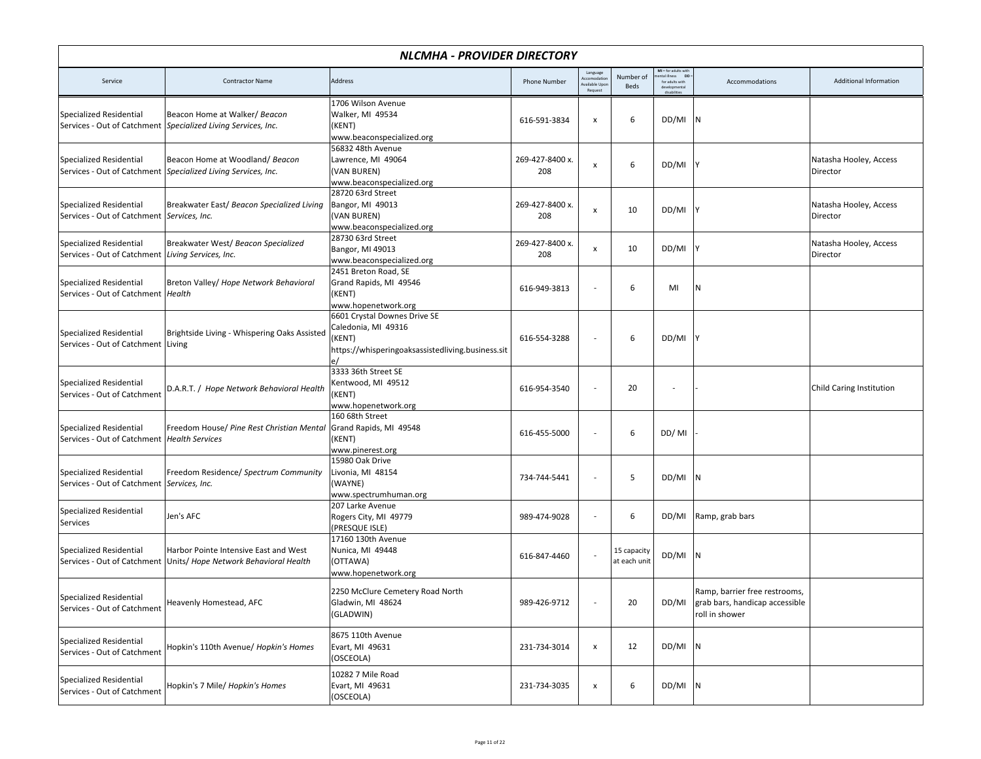|                                                                                 | NLCMHA - PROVIDER DIRECTORY                                                                     |                                                                                                                    |                        |                                                     |                             |                                                                      |                                                                                   |                                    |  |  |  |
|---------------------------------------------------------------------------------|-------------------------------------------------------------------------------------------------|--------------------------------------------------------------------------------------------------------------------|------------------------|-----------------------------------------------------|-----------------------------|----------------------------------------------------------------------|-----------------------------------------------------------------------------------|------------------------------------|--|--|--|
| Service                                                                         | <b>Contractor Name</b>                                                                          | Address                                                                                                            | <b>Phone Number</b>    | Language<br>Accomodation<br>vailable Upd<br>Request | Number of<br>Beds           | MI = for adults with<br>ntal illness DD =<br>for adults with<br>deve | Accommodations                                                                    | Additional Information             |  |  |  |
| <b>Specialized Residential</b>                                                  | Beacon Home at Walker/ Beacon<br>Services - Out of Catchment Specialized Living Services, Inc.  | 1706 Wilson Avenue<br>Walker, MI 49534<br>(KENT)<br>www.beaconspecialized.org                                      | 616-591-3834           | $\pmb{\mathsf{x}}$                                  | 6                           | DD/MI                                                                |                                                                                   |                                    |  |  |  |
| <b>Specialized Residential</b>                                                  | Beacon Home at Woodland/Beacon<br>Services - Out of Catchment Specialized Living Services, Inc. | 56832 48th Avenue<br>Lawrence, MI 49064<br>(VAN BUREN)<br>www.beaconspecialized.org                                | 269-427-8400 x.<br>208 | x                                                   | 6                           | DD/MI                                                                |                                                                                   | Natasha Hooley, Access<br>Director |  |  |  |
| <b>Specialized Residential</b><br>Services - Out of Catchment Services, Inc.    | Breakwater East/ Beacon Specialized Living                                                      | 28720 63rd Street<br>Bangor, MI 49013<br>(VAN BUREN)<br>www.beaconspecialized.org                                  | 269-427-8400 x.<br>208 | х                                                   | 10                          | DD/MI                                                                |                                                                                   | Natasha Hooley, Access<br>Director |  |  |  |
| Specialized Residential<br>Services - Out of Catchment                          | Breakwater West/ Beacon Specialized<br>Living Services, Inc.                                    | 28730 63rd Street<br>Bangor, MI 49013<br>www.beaconspecialized.org                                                 | 269-427-8400 x.<br>208 | $\pmb{\mathsf{x}}$                                  | 10                          | DD/MI                                                                |                                                                                   | Natasha Hooley, Access<br>Director |  |  |  |
| <b>Specialized Residential</b><br>Services - Out of Catchment   Health          | Breton Valley/ Hope Network Behavioral                                                          | 2451 Breton Road, SE<br>Grand Rapids, MI 49546<br>(KENT)<br>www.hopenetwork.org                                    | 616-949-3813           |                                                     | 6                           | MI                                                                   | N                                                                                 |                                    |  |  |  |
| <b>Specialized Residential</b><br>Services - Out of Catchment Living            | Brightside Living - Whispering Oaks Assisted                                                    | 6601 Crystal Downes Drive SE<br>Caledonia, MI 49316<br>(KENT)<br>https://whisperingoaksassistedliving.business.sit | 616-554-3288           | $\overline{\phantom{a}}$                            | 6                           | DD/MI                                                                |                                                                                   |                                    |  |  |  |
| <b>Specialized Residential</b><br>Services - Out of Catchment                   | D.A.R.T. / Hope Network Behavioral Health                                                       | 3333 36th Street SE<br>Kentwood, MI 49512<br>(KENT)<br>www.hopenetwork.org                                         | 616-954-3540           |                                                     | 20                          |                                                                      |                                                                                   | Child Caring Institution           |  |  |  |
| <b>Specialized Residential</b><br>Services - Out of Catchment   Health Services | Freedom House/ Pine Rest Christian Mental                                                       | 160 68th Street<br>Grand Rapids, MI 49548<br>(KENT)<br>www.pinerest.org                                            | 616-455-5000           |                                                     | 6                           | DD/MI                                                                |                                                                                   |                                    |  |  |  |
| <b>Specialized Residential</b><br>Services - Out of Catchment Services, Inc.    | Freedom Residence/ Spectrum Community                                                           | 15980 Oak Drive<br>Livonia, MI 48154<br>(WAYNE)<br>www.spectrumhuman.org                                           | 734-744-5441           |                                                     | 5                           | DD/MI                                                                |                                                                                   |                                    |  |  |  |
| Specialized Residential<br>Services                                             | Jen's AFC                                                                                       | 207 Larke Avenue<br>Rogers City, MI 49779<br>(PRESQUE ISLE)                                                        | 989-474-9028           | $\overline{\phantom{a}}$                            | 6                           | DD/MI                                                                | Ramp, grab bars                                                                   |                                    |  |  |  |
| <b>Specialized Residential</b><br>Services - Out of Catchment                   | Harbor Pointe Intensive East and West<br>Units/ Hope Network Behavioral Health                  | 17160 130th Avenue<br>Nunica, MI 49448<br>(OTTAWA)<br>www.hopenetwork.org                                          | 616-847-4460           |                                                     | 15 capacity<br>at each unit | DD/MI                                                                |                                                                                   |                                    |  |  |  |
| Specialized Residential<br>Services - Out of Catchment                          | Heavenly Homestead, AFC                                                                         | 2250 McClure Cemetery Road North<br>Gladwin, MI 48624<br>(GLADWIN)                                                 | 989-426-9712           | $\overline{\phantom{a}}$                            | 20                          | DD/MI                                                                | Ramp, barrier free restrooms,<br>grab bars, handicap accessible<br>roll in shower |                                    |  |  |  |
| Specialized Residential<br>Services - Out of Catchment                          | Hopkin's 110th Avenue/ Hopkin's Homes                                                           | 8675 110th Avenue<br>Evart, MI 49631<br>(OSCEOLA)                                                                  | 231-734-3014           | $\pmb{\times}$                                      | 12                          | $DD/MI$ N                                                            |                                                                                   |                                    |  |  |  |
| Specialized Residential<br>Services - Out of Catchment                          | Hopkin's 7 Mile/ Hopkin's Homes                                                                 | 10282 7 Mile Road<br>Evart, MI 49631<br>(OSCEOLA)                                                                  | 231-734-3035           | $\pmb{\mathsf{x}}$                                  | 6                           | $DD/MI$ N                                                            |                                                                                   |                                    |  |  |  |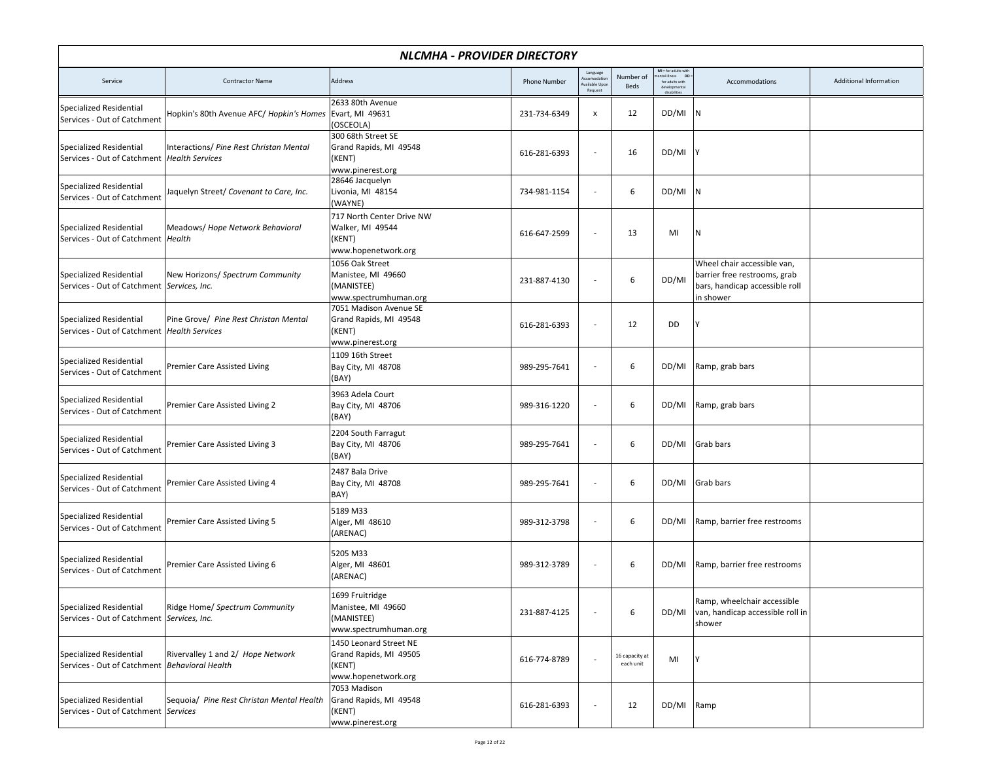|                                                                                 | NLCMHA - PROVIDER DIRECTORY               |                                                                                   |                     |                                                   |                             |                                                                       |                                                                                                            |                               |  |  |
|---------------------------------------------------------------------------------|-------------------------------------------|-----------------------------------------------------------------------------------|---------------------|---------------------------------------------------|-----------------------------|-----------------------------------------------------------------------|------------------------------------------------------------------------------------------------------------|-------------------------------|--|--|
| Service                                                                         | <b>Contractor Name</b>                    | Address                                                                           | <b>Phone Number</b> | Language<br>kccomodatio<br>ailable Upo<br>Request | Number of<br>Beds           | $MI = for adults with$<br><b>DD</b><br>tal illness<br>for adults with | Accommodations                                                                                             | <b>Additional Information</b> |  |  |
| <b>Specialized Residential</b><br>Services - Out of Catchment                   | Hopkin's 80th Avenue AFC/ Hopkin's Homes  | 2633 80th Avenue<br>Evart, MI 49631<br>(OSCEOLA)                                  | 231-734-6349        | $\boldsymbol{\mathsf{x}}$                         | 12                          | DD/MI                                                                 | IN.                                                                                                        |                               |  |  |
| <b>Specialized Residential</b><br>Services - Out of Catchment   Health Services | Interactions/ Pine Rest Christan Mental   | 300 68th Street SE<br>Grand Rapids, MI 49548<br>(KENT)<br>www.pinerest.org        | 616-281-6393        | ÷,                                                | 16                          | DD/MI                                                                 |                                                                                                            |                               |  |  |
| <b>Specialized Residential</b><br>Services - Out of Catchment                   | Jaquelyn Street/ Covenant to Care, Inc.   | 28646 Jacquelyn<br>Livonia, MI 48154<br>(WAYNE)                                   | 734-981-1154        | $\overline{\phantom{a}}$                          | 6                           | DD/MI N                                                               |                                                                                                            |                               |  |  |
| <b>Specialized Residential</b><br>Services - Out of Catchment   Health          | Meadows/ Hope Network Behavioral          | 717 North Center Drive NW<br>Walker, MI 49544<br>(KENT)<br>www.hopenetwork.org    | 616-647-2599        | $\overline{\phantom{a}}$                          | 13                          | MI                                                                    | İΝ.                                                                                                        |                               |  |  |
| <b>Specialized Residential</b><br>Services - Out of Catchment Services, Inc.    | New Horizons/ Spectrum Community          | 1056 Oak Street<br>Manistee, MI 49660<br>(MANISTEE)<br>www.spectrumhuman.org      | 231-887-4130        |                                                   | 6                           | DD/MI                                                                 | Wheel chair accessible van,<br>barrier free restrooms, grab<br>bars, handicap accessible roll<br>in shower |                               |  |  |
| <b>Specialized Residential</b><br>Services - Out of Catchment   Health Services | Pine Grove/ Pine Rest Christan Mental     | 7051 Madison Avenue SE<br>Grand Rapids, MI 49548<br>(KENT)<br>www.pinerest.org    | 616-281-6393        | $\overline{a}$                                    | 12                          | DD                                                                    |                                                                                                            |                               |  |  |
| Specialized Residential<br>Services - Out of Catchment                          | Premier Care Assisted Living              | 1109 16th Street<br>Bay City, MI 48708<br>(BAY)                                   | 989-295-7641        | $\overline{\phantom{a}}$                          | 6                           | DD/MI                                                                 | Ramp, grab bars                                                                                            |                               |  |  |
| Specialized Residential<br>Services - Out of Catchment                          | Premier Care Assisted Living 2            | 3963 Adela Court<br>Bay City, MI 48706<br>(BAY)                                   | 989-316-1220        | $\overline{\phantom{a}}$                          | 6                           | DD/MI                                                                 | Ramp, grab bars                                                                                            |                               |  |  |
| <b>Specialized Residential</b><br>Services - Out of Catchment                   | Premier Care Assisted Living 3            | 2204 South Farragut<br>Bay City, MI 48706<br>(BAY)                                | 989-295-7641        | ÷,                                                | 6                           | DD/MI                                                                 | Grab bars                                                                                                  |                               |  |  |
| Specialized Residential<br>Services - Out of Catchment                          | Premier Care Assisted Living 4            | 2487 Bala Drive<br>Bay City, MI 48708<br>BAY)                                     | 989-295-7641        | ÷,                                                | 6                           | DD/MI                                                                 | Grab bars                                                                                                  |                               |  |  |
| <b>Specialized Residential</b><br>Services - Out of Catchment                   | Premier Care Assisted Living 5            | 5189 M33<br>Alger, MI 48610<br>(ARENAC)                                           | 989-312-3798        | $\overline{\phantom{a}}$                          | 6                           | DD/MI                                                                 | Ramp, barrier free restrooms                                                                               |                               |  |  |
| <b>Specialized Residential</b><br>Services - Out of Catchment                   | Premier Care Assisted Living 6            | 5205 M33<br>Alger, MI 48601<br>(ARENAC)                                           | 989-312-3789        | ÷,                                                | 6                           | DD/MI                                                                 | Ramp, barrier free restrooms                                                                               |                               |  |  |
| <b>Specialized Residential</b><br>Services - Out of Catchment   Services, Inc.  | Ridge Home/ Spectrum Community            | 1699 Fruitridge<br>Manistee, MI 49660<br>(MANISTEE)<br>www.spectrumhuman.org      | 231-887-4125        | $\overline{\phantom{a}}$                          | 6                           | DD/MI                                                                 | Ramp, wheelchair accessible<br>van, handicap accessible roll in<br>shower                                  |                               |  |  |
| Specialized Residential<br>Services - Out of Catchment   Behavioral Health      | Rivervalley 1 and 2/ Hope Network         | 1450 Leonard Street NE<br>Grand Rapids, MI 49505<br>(KENT)<br>www.hopenetwork.org | 616-774-8789        |                                                   | 16 capacity at<br>each unit | MI                                                                    | I٧                                                                                                         |                               |  |  |
| Specialized Residential<br>Services - Out of Catchment Services                 | Sequoia/ Pine Rest Christan Mental Health | 7053 Madison<br>Grand Rapids, MI 49548<br>(KENT)<br>www.pinerest.org              | 616-281-6393        | ٠                                                 | 12                          | DD/MI Ramp                                                            |                                                                                                            |                               |  |  |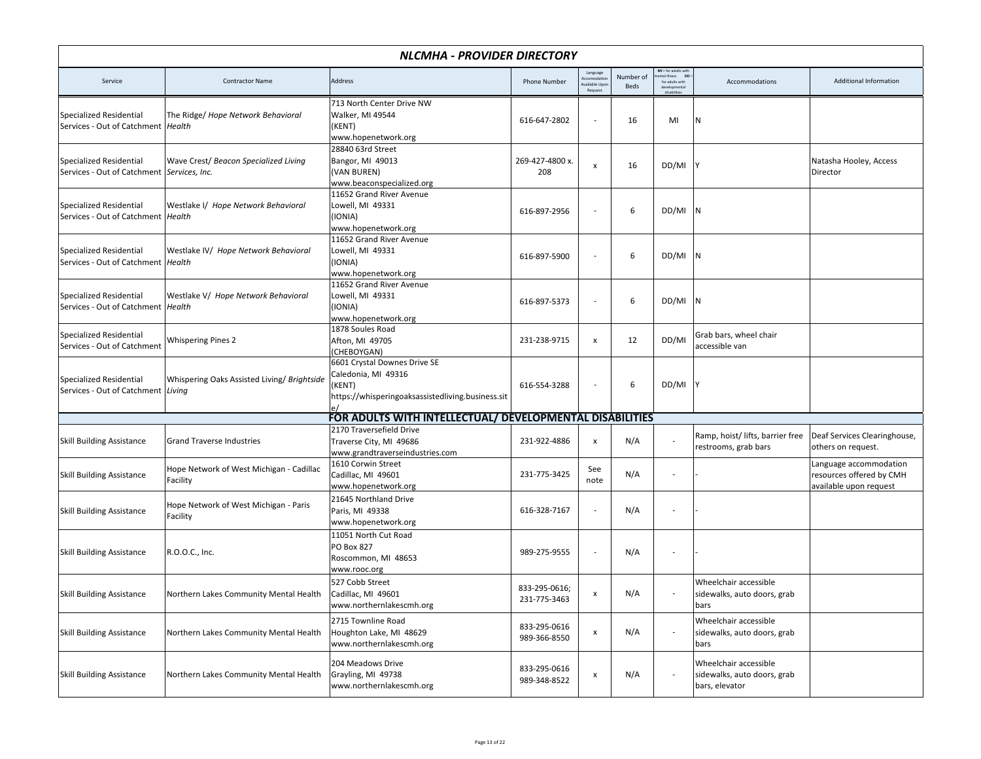| NLCMHA - PROVIDER DIRECTORY                                                    |                                                      |                                                                                                                    |                               |                                                     |                   |                                                               |                                                                        |                                                                              |  |  |
|--------------------------------------------------------------------------------|------------------------------------------------------|--------------------------------------------------------------------------------------------------------------------|-------------------------------|-----------------------------------------------------|-------------------|---------------------------------------------------------------|------------------------------------------------------------------------|------------------------------------------------------------------------------|--|--|
| Service                                                                        | <b>Contractor Name</b>                               | Address                                                                                                            | <b>Phone Number</b>           | Language<br>Accomodation<br>vailable Upo<br>Request | Number of<br>Beds | MI = for adults with<br>ental illness DD :<br>for adults with | Accommodations                                                         | Additional Information                                                       |  |  |
| <b>Specialized Residential</b><br>Services - Out of Catchment Health           | The Ridge/ Hope Network Behavioral                   | 713 North Center Drive NW<br>Walker, MI 49544<br>(KENT)<br>www.hopenetwork.org                                     | 616-647-2802                  | $\overline{\phantom{a}}$                            | 16                | MI                                                            | N                                                                      |                                                                              |  |  |
| <b>Specialized Residential</b><br>Services - Out of Catchment   Services, Inc. | Wave Crest/ Beacon Specialized Living                | 28840 63rd Street<br>Bangor, MI 49013<br>(VAN BUREN)<br>www.beaconspecialized.org                                  | 269-427-4800 x.<br>208        | $\pmb{\times}$                                      | 16                | DD/MI                                                         |                                                                        | Natasha Hooley, Access<br>Director                                           |  |  |
| <b>Specialized Residential</b><br>Services - Out of Catchment   Health         | Westlake I/ Hope Network Behavioral                  | 11652 Grand River Avenue<br>Lowell, MI 49331<br>(IONIA)<br>www.hopenetwork.org                                     | 616-897-2956                  | $\overline{\phantom{a}}$                            | 6                 | DD/MI                                                         |                                                                        |                                                                              |  |  |
| <b>Specialized Residential</b><br>Services - Out of Catchment   Health         | Westlake IV/ Hope Network Behavioral                 | 11652 Grand River Avenue<br>Lowell, MI 49331<br>(IONIA)<br>www.hopenetwork.org                                     | 616-897-5900                  | $\overline{\phantom{a}}$                            | 6                 | DD/MI                                                         | l N                                                                    |                                                                              |  |  |
| <b>Specialized Residential</b><br>Services - Out of Catchment Health           | Westlake V/ Hope Network Behavioral                  | 11652 Grand River Avenue<br>Lowell, MI 49331<br>(IONIA)<br>www.hopenetwork.org                                     | 616-897-5373                  | $\overline{\phantom{a}}$                            | 6                 | DD/MI                                                         |                                                                        |                                                                              |  |  |
| Specialized Residential<br>Services - Out of Catchment                         | <b>Whispering Pines 2</b>                            | 1878 Soules Road<br>Afton, MI 49705<br>(CHEBOYGAN)                                                                 | 231-238-9715                  | $\pmb{\times}$                                      | 12                | DD/MI                                                         | Grab bars, wheel chair<br>accessible van                               |                                                                              |  |  |
| <b>Specialized Residential</b><br>Services - Out of Catchment Living           | Whispering Oaks Assisted Living/ Brightside          | 6601 Crystal Downes Drive SE<br>Caledonia, MI 49316<br>(KENT)<br>https://whisperingoaksassistedliving.business.sit | 616-554-3288                  |                                                     | 6                 | DD/MI                                                         |                                                                        |                                                                              |  |  |
|                                                                                |                                                      | FOR ADULTS WITH INTELLECTUAL/ DEVELOPMENTAL DISABILITIES                                                           |                               |                                                     |                   |                                                               |                                                                        |                                                                              |  |  |
| <b>Skill Building Assistance</b>                                               | <b>Grand Traverse Industries</b>                     | 2170 Traversefield Drive<br>Traverse City, MI 49686<br>www.grandtraverseindustries.com                             | 231-922-4886                  | $\pmb{\times}$                                      | N/A               |                                                               | Ramp, hoist/lifts, barrier free<br>restrooms, grab bars                | Deaf Services Clearinghouse,<br>others on request.                           |  |  |
| <b>Skill Building Assistance</b>                                               | Hope Network of West Michigan - Cadillac<br>Facility | 1610 Corwin Street<br>Cadillac, MI 49601<br>www.hopenetwork.org                                                    | 231-775-3425                  | See<br>note                                         | N/A               | ÷,                                                            |                                                                        | Language accommodation<br>resources offered by CMH<br>available upon request |  |  |
| <b>Skill Building Assistance</b>                                               | Hope Network of West Michigan - Paris<br>Facility    | 21645 Northland Drive<br>Paris, MI 49338<br>www.hopenetwork.org                                                    | 616-328-7167                  | $\overline{\phantom{a}}$                            | N/A               |                                                               |                                                                        |                                                                              |  |  |
| <b>Skill Building Assistance</b>                                               | R.O.O.C., Inc.                                       | 11051 North Cut Road<br><b>PO Box 827</b><br>Roscommon, MI 48653<br>www.rooc.org                                   | 989-275-9555                  | $\overline{\phantom{a}}$                            | N/A               | $\overline{a}$                                                |                                                                        |                                                                              |  |  |
| <b>Skill Building Assistance</b>                                               | Northern Lakes Community Mental Health               | 527 Cobb Street<br>Cadillac, MI 49601<br>www.northernlakescmh.org                                                  | 833-295-0616;<br>231-775-3463 | $\pmb{\times}$                                      | N/A               |                                                               | Wheelchair accessible<br>sidewalks, auto doors, grab<br>bars           |                                                                              |  |  |
| <b>Skill Building Assistance</b>                                               | Northern Lakes Community Mental Health               | 2715 Townline Road<br>Houghton Lake, MI 48629<br>www.northernlakescmh.org                                          | 833-295-0616<br>989-366-8550  | $\pmb{\mathsf{x}}$                                  | N/A               |                                                               | Wheelchair accessible<br>sidewalks, auto doors, grab<br>bars           |                                                                              |  |  |
| <b>Skill Building Assistance</b>                                               | Northern Lakes Community Mental Health               | 204 Meadows Drive<br>Grayling, MI 49738<br>www.northernlakescmh.org                                                | 833-295-0616<br>989-348-8522  | $\pmb{\mathsf{x}}$                                  | N/A               |                                                               | Wheelchair accessible<br>sidewalks, auto doors, grab<br>bars, elevator |                                                                              |  |  |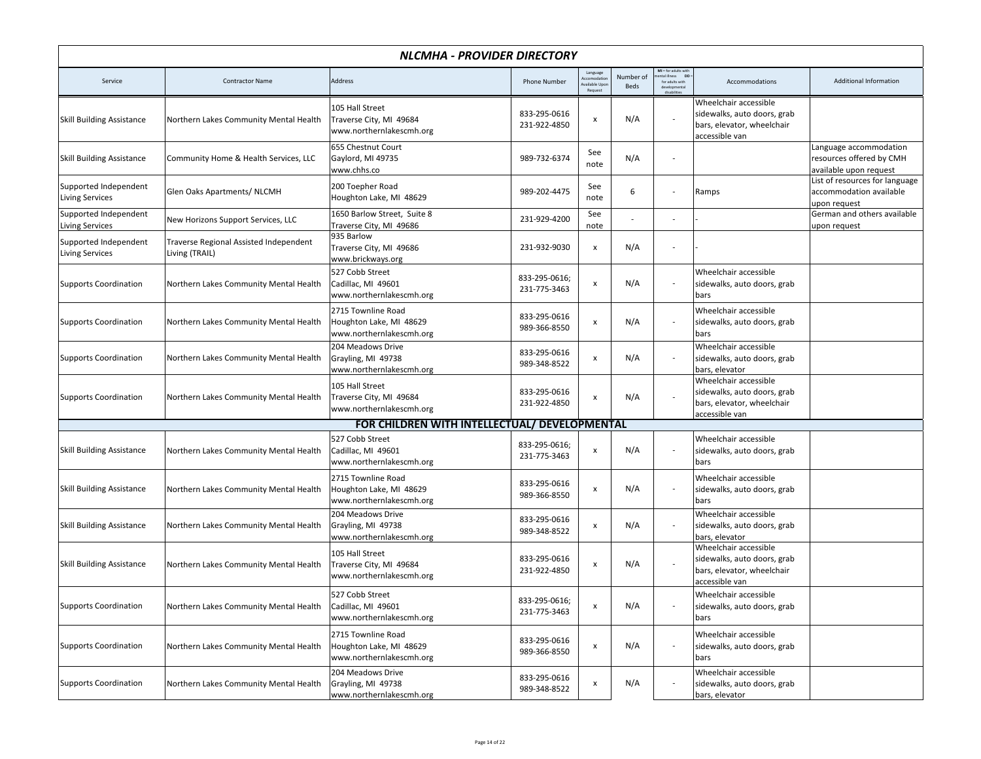|                                                 | NLCMHA - PROVIDER DIRECTORY                              |                                                                           |                               |                                                   |                          |                                                                                                      |                                                                                                      |                                                                              |  |  |
|-------------------------------------------------|----------------------------------------------------------|---------------------------------------------------------------------------|-------------------------------|---------------------------------------------------|--------------------------|------------------------------------------------------------------------------------------------------|------------------------------------------------------------------------------------------------------|------------------------------------------------------------------------------|--|--|
| Service                                         | <b>Contractor Name</b>                                   | Address                                                                   | <b>Phone Number</b>           | Language<br>ccomodatio<br>vailable Upd<br>Request | Number of<br><b>Beds</b> | MI = for adults with<br>nental illness DD =<br>tal illness<br>for adults with<br>deve<br>disabilitie | Accommodations                                                                                       | Additional Information                                                       |  |  |
| <b>Skill Building Assistance</b>                | Northern Lakes Community Mental Health                   | 105 Hall Street<br>Traverse City, MI 49684<br>www.northernlakescmh.org    | 833-295-0616<br>231-922-4850  | X                                                 | N/A                      |                                                                                                      | Wheelchair accessible<br>sidewalks, auto doors, grab<br>bars, elevator, wheelchair<br>accessible van |                                                                              |  |  |
| <b>Skill Building Assistance</b>                | Community Home & Health Services, LLC                    | 655 Chestnut Court<br>Gaylord, MI 49735<br>www.chhs.co                    | 989-732-6374                  | See<br>note                                       | N/A                      |                                                                                                      |                                                                                                      | Language accommodation<br>resources offered by CMH<br>available upon request |  |  |
| Supported Independent<br><b>Living Services</b> | Glen Oaks Apartments/ NLCMH                              | 200 Toepher Road<br>Houghton Lake, MI 48629                               | 989-202-4475                  | See<br>note                                       | 6                        |                                                                                                      | Ramps                                                                                                | List of resources for language<br>accommodation available<br>upon request    |  |  |
| Supported Independent<br><b>Living Services</b> | New Horizons Support Services, LLC                       | 1650 Barlow Street, Suite 8<br>Traverse City, MI 49686                    | 231-929-4200                  | See<br>note                                       |                          |                                                                                                      |                                                                                                      | German and others available<br>upon request                                  |  |  |
| Supported Independent<br><b>Living Services</b> | Traverse Regional Assisted Independent<br>Living (TRAIL) | 935 Barlow<br>Traverse City, MI 49686<br>www.brickways.org                | 231-932-9030                  | $\pmb{\times}$                                    | N/A                      |                                                                                                      |                                                                                                      |                                                                              |  |  |
| <b>Supports Coordination</b>                    | Northern Lakes Community Mental Health                   | 527 Cobb Street<br>Cadillac, MI 49601<br>www.northernlakescmh.org         | 833-295-0616;<br>231-775-3463 | X                                                 | N/A                      | $\overline{\phantom{a}}$                                                                             | Wheelchair accessible<br>sidewalks, auto doors, grab<br>bars                                         |                                                                              |  |  |
| <b>Supports Coordination</b>                    | Northern Lakes Community Mental Health                   | 2715 Townline Road<br>Houghton Lake, MI 48629<br>www.northernlakescmh.org | 833-295-0616<br>989-366-8550  | x                                                 | N/A                      |                                                                                                      | Wheelchair accessible<br>sidewalks, auto doors, grab<br>bars                                         |                                                                              |  |  |
| <b>Supports Coordination</b>                    | Northern Lakes Community Mental Health                   | 204 Meadows Drive<br>Grayling, MI 49738<br>www.northernlakescmh.org       | 833-295-0616<br>989-348-8522  | $\pmb{\mathsf{x}}$                                | N/A                      | $\overline{\phantom{a}}$                                                                             | Wheelchair accessible<br>sidewalks, auto doors, grab<br>bars, elevator                               |                                                                              |  |  |
| <b>Supports Coordination</b>                    | Northern Lakes Community Mental Health                   | 105 Hall Street<br>Traverse City, MI 49684<br>www.northernlakescmh.org    | 833-295-0616<br>231-922-4850  | $\pmb{\times}$                                    | N/A                      |                                                                                                      | Wheelchair accessible<br>sidewalks, auto doors, grab<br>bars, elevator, wheelchair<br>accessible van |                                                                              |  |  |
|                                                 |                                                          | FOR CHILDREN WITH INTELLECTUAL/ DEVELOPMENTAL                             |                               |                                                   |                          |                                                                                                      |                                                                                                      |                                                                              |  |  |
| <b>Skill Building Assistance</b>                | Northern Lakes Community Mental Health                   | 527 Cobb Street<br>Cadillac, MI 49601<br>www.northernlakescmh.org         | 833-295-0616;<br>231-775-3463 | $\pmb{\mathsf{x}}$                                | N/A                      | $\overline{\phantom{a}}$                                                                             | Wheelchair accessible<br>sidewalks, auto doors, grab<br>bars                                         |                                                                              |  |  |
| <b>Skill Building Assistance</b>                | Northern Lakes Community Mental Health                   | 2715 Townline Road<br>Houghton Lake, MI 48629<br>www.northernlakescmh.org | 833-295-0616<br>989-366-8550  | x                                                 | N/A                      |                                                                                                      | Wheelchair accessible<br>sidewalks, auto doors, grab<br>bars                                         |                                                                              |  |  |
| <b>Skill Building Assistance</b>                | Northern Lakes Community Mental Health                   | 204 Meadows Drive<br>Grayling, MI 49738<br>www.northernlakescmh.org       | 833-295-0616<br>989-348-8522  | x                                                 | N/A                      |                                                                                                      | Wheelchair accessible<br>sidewalks, auto doors, grab<br>bars, elevator                               |                                                                              |  |  |
| <b>Skill Building Assistance</b>                | Northern Lakes Community Mental Health                   | 105 Hall Street<br>Traverse City, MI 49684<br>www.northernlakescmh.org    | 833-295-0616<br>231-922-4850  | x                                                 | N/A                      |                                                                                                      | Wheelchair accessible<br>sidewalks, auto doors, grab<br>bars, elevator, wheelchair<br>accessible van |                                                                              |  |  |
| <b>Supports Coordination</b>                    | Northern Lakes Community Mental Health                   | 527 Cobb Street<br>Cadillac, MI 49601<br>www.northernlakescmh.org         | 833-295-0616;<br>231-775-3463 | x                                                 | N/A                      |                                                                                                      | Wheelchair accessible<br>sidewalks, auto doors, grab<br>bars                                         |                                                                              |  |  |
| <b>Supports Coordination</b>                    | Northern Lakes Community Mental Health                   | 2715 Townline Road<br>Houghton Lake, MI 48629<br>www.northernlakescmh.org | 833-295-0616<br>989-366-8550  | x                                                 | N/A                      |                                                                                                      | Wheelchair accessible<br>sidewalks, auto doors, grab<br>bars                                         |                                                                              |  |  |
| <b>Supports Coordination</b>                    | Northern Lakes Community Mental Health                   | 204 Meadows Drive<br>Grayling, MI 49738<br>www.northernlakescmh.org       | 833-295-0616<br>989-348-8522  | x                                                 | N/A                      |                                                                                                      | Wheelchair accessible<br>sidewalks, auto doors, grab<br>bars, elevator                               |                                                                              |  |  |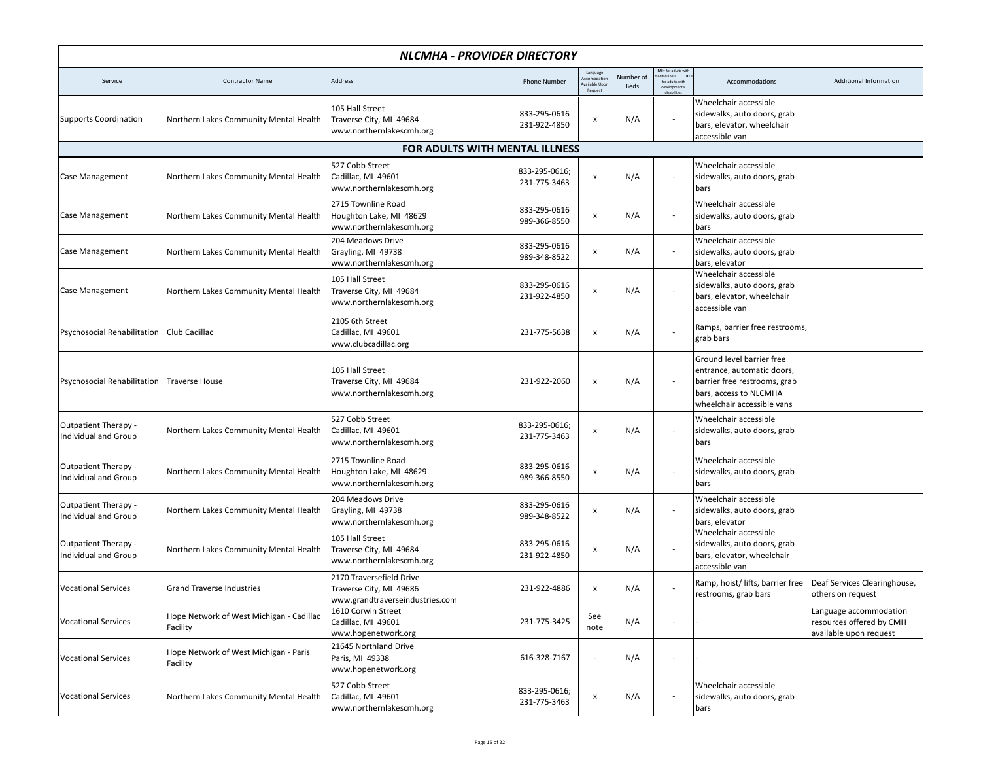| NLCMHA - PROVIDER DIRECTORY                                |                                                      |                                                                                        |                               |                                                  |                   |                                                                                              |                                                                                                                                                 |                                                                              |  |
|------------------------------------------------------------|------------------------------------------------------|----------------------------------------------------------------------------------------|-------------------------------|--------------------------------------------------|-------------------|----------------------------------------------------------------------------------------------|-------------------------------------------------------------------------------------------------------------------------------------------------|------------------------------------------------------------------------------|--|
| Service                                                    | <b>Contractor Name</b>                               | Address                                                                                | <b>Phone Number</b>           | Language<br>ccomodati<br>vailable Upo<br>Request | Number of<br>Beds | $MI = for adults withmental illness DD =ental illness Dfor adults withdevelopmendisabilitie$ | Accommodations                                                                                                                                  | Additional Information                                                       |  |
| <b>Supports Coordination</b>                               | Northern Lakes Community Mental Health               | 105 Hall Street<br>Traverse City, MI 49684<br>www.northernlakescmh.org                 | 833-295-0616<br>231-922-4850  | x                                                | N/A               |                                                                                              | Wheelchair accessible<br>sidewalks, auto doors, grab<br>bars, elevator, wheelchair<br>accessible van                                            |                                                                              |  |
|                                                            |                                                      | <b>FOR ADULTS WITH MENTAL ILLNESS</b>                                                  |                               |                                                  |                   |                                                                                              |                                                                                                                                                 |                                                                              |  |
| Case Management                                            | Northern Lakes Community Mental Health               | 527 Cobb Street<br>Cadillac, MI 49601<br>www.northernlakescmh.org                      | 833-295-0616;<br>231-775-3463 | x                                                | N/A               |                                                                                              | Wheelchair accessible<br>sidewalks, auto doors, grab<br>bars                                                                                    |                                                                              |  |
| Case Management                                            | Northern Lakes Community Mental Health               | 2715 Townline Road<br>Houghton Lake, MI 48629<br>www.northernlakescmh.org              | 833-295-0616<br>989-366-8550  | x                                                | N/A               |                                                                                              | Wheelchair accessible<br>sidewalks, auto doors, grab<br>bars                                                                                    |                                                                              |  |
| Case Management                                            | Northern Lakes Community Mental Health               | 204 Meadows Drive<br>Grayling, MI 49738<br>www.northernlakescmh.org                    | 833-295-0616<br>989-348-8522  | x                                                | N/A               |                                                                                              | Wheelchair accessible<br>sidewalks, auto doors, grab<br>bars, elevator                                                                          |                                                                              |  |
| Case Management                                            | Northern Lakes Community Mental Health               | 105 Hall Street<br>Traverse City, MI 49684<br>www.northernlakescmh.org                 | 833-295-0616<br>231-922-4850  | x                                                | N/A               |                                                                                              | Wheelchair accessible<br>sidewalks, auto doors, grab<br>bars, elevator, wheelchair<br>accessible van                                            |                                                                              |  |
| Psychosocial Rehabilitation   Club Cadillac                |                                                      | 2105 6th Street<br>Cadillac, MI 49601<br>www.clubcadillac.org                          | 231-775-5638                  | $\pmb{\mathsf{x}}$                               | N/A               |                                                                                              | Ramps, barrier free restrooms,<br>grab bars                                                                                                     |                                                                              |  |
| Psychosocial Rehabilitation   Traverse House               |                                                      | 105 Hall Street<br>Traverse City, MI 49684<br>www.northernlakescmh.org                 | 231-922-2060                  | $\pmb{\mathsf{x}}$                               | N/A               |                                                                                              | Ground level barrier free<br>entrance, automatic doors,<br>barrier free restrooms, grab<br>bars, access to NLCMHA<br>wheelchair accessible vans |                                                                              |  |
| Outpatient Therapy -<br>Individual and Group               | Northern Lakes Community Mental Health               | 527 Cobb Street<br>Cadillac, MI 49601<br>www.northernlakescmh.org                      | 833-295-0616;<br>231-775-3463 | $\pmb{\mathsf{x}}$                               | N/A               |                                                                                              | Wheelchair accessible<br>sidewalks, auto doors, grab<br>bars                                                                                    |                                                                              |  |
| Outpatient Therapy -<br><b>Individual and Group</b>        | Northern Lakes Community Mental Health               | 2715 Townline Road<br>Houghton Lake, MI 48629<br>www.northernlakescmh.org              | 833-295-0616<br>989-366-8550  | $\pmb{\mathsf{x}}$                               | N/A               |                                                                                              | Wheelchair accessible<br>sidewalks, auto doors, grab<br>bars                                                                                    |                                                                              |  |
| <b>Outpatient Therapy -</b><br>Individual and Group        | Northern Lakes Community Mental Health               | 204 Meadows Drive<br>Grayling, MI 49738<br>www.northernlakescmh.org                    | 833-295-0616<br>989-348-8522  | x                                                | N/A               |                                                                                              | Wheelchair accessible<br>sidewalks, auto doors, grab<br>bars, elevator                                                                          |                                                                              |  |
| <b>Outpatient Therapy -</b><br><b>Individual and Group</b> | Northern Lakes Community Mental Health               | 105 Hall Street<br>Traverse City, MI 49684<br>www.northernlakescmh.org                 | 833-295-0616<br>231-922-4850  | x                                                | N/A               |                                                                                              | Wheelchair accessible<br>sidewalks, auto doors, grab<br>bars, elevator, wheelchair<br>accessible van                                            |                                                                              |  |
| <b>Vocational Services</b>                                 | <b>Grand Traverse Industries</b>                     | 2170 Traversefield Drive<br>Traverse City, MI 49686<br>www.grandtraverseindustries.com | 231-922-4886                  | x                                                | N/A               |                                                                                              | Ramp, hoist/lifts, barrier free<br>restrooms, grab bars                                                                                         | Deaf Services Clearinghouse,<br>others on request                            |  |
| <b>Vocational Services</b>                                 | Hope Network of West Michigan - Cadillac<br>Facility | 1610 Corwin Street<br>Cadillac, MI 49601<br>www.hopenetwork.org                        | 231-775-3425                  | See<br>note                                      | N/A               |                                                                                              |                                                                                                                                                 | Language accommodation<br>resources offered by CMH<br>available upon request |  |
| <b>Vocational Services</b>                                 | Hope Network of West Michigan - Paris<br>Facility    | 21645 Northland Drive<br>Paris, MI 49338<br>www.hopenetwork.org                        | 616-328-7167                  | $\overline{\phantom{a}}$                         | N/A               |                                                                                              |                                                                                                                                                 |                                                                              |  |
| <b>Vocational Services</b>                                 | Northern Lakes Community Mental Health               | 527 Cobb Street<br>Cadillac, MI 49601<br>www.northernlakescmh.org                      | 833-295-0616;<br>231-775-3463 | $\pmb{\mathsf{x}}$                               | N/A               |                                                                                              | Wheelchair accessible<br>sidewalks, auto doors, grab<br>bars                                                                                    |                                                                              |  |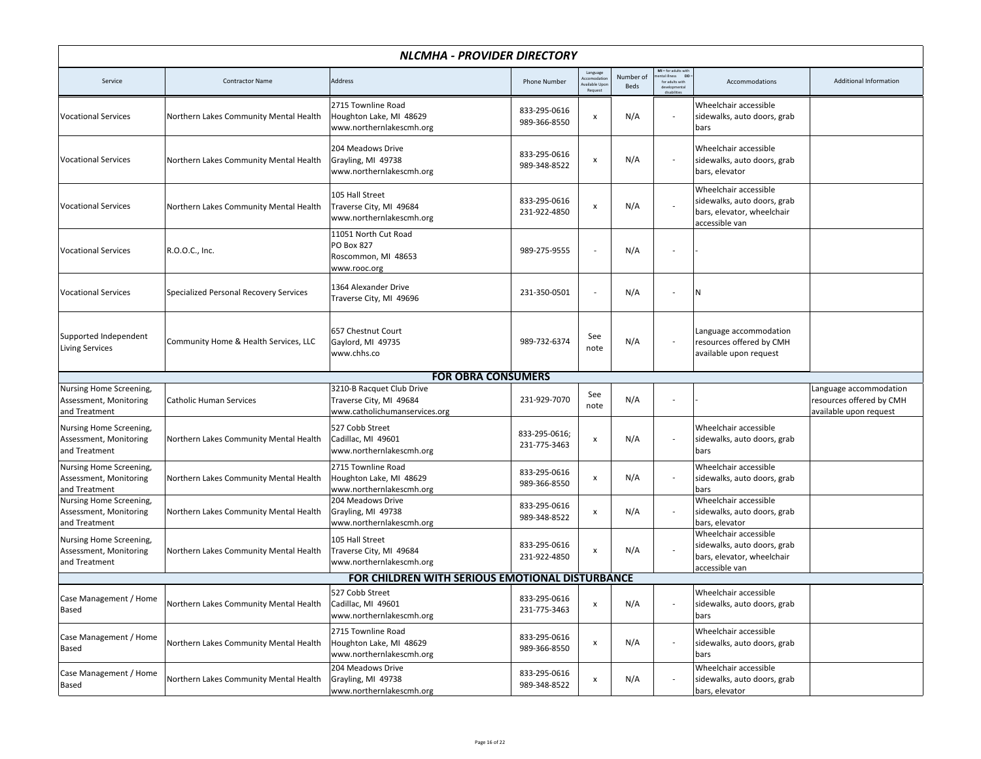| NLCMHA - PROVIDER DIRECTORY                                        |                                        |                                                                                       |                               |                                                           |                   |                                                                  |                                                                                                      |                                                                              |  |
|--------------------------------------------------------------------|----------------------------------------|---------------------------------------------------------------------------------------|-------------------------------|-----------------------------------------------------------|-------------------|------------------------------------------------------------------|------------------------------------------------------------------------------------------------------|------------------------------------------------------------------------------|--|
| Service                                                            | <b>Contractor Name</b>                 | Address                                                                               | <b>Phone Number</b>           | Language<br><b>Accomodation</b><br>ailable Upo<br>Request | Number of<br>Beds | $MI = for adults with$<br>DD:<br>ntal illness<br>for adults with | Accommodations                                                                                       | Additional Information                                                       |  |
| <b>Vocational Services</b>                                         | Northern Lakes Community Mental Health | 2715 Townline Road<br>Houghton Lake, MI 48629<br>www.northernlakescmh.org             | 833-295-0616<br>989-366-8550  | х                                                         | N/A               |                                                                  | Wheelchair accessible<br>sidewalks, auto doors, grab<br>bars                                         |                                                                              |  |
| <b>Vocational Services</b>                                         | Northern Lakes Community Mental Health | 204 Meadows Drive<br>Grayling, MI 49738<br>www.northernlakescmh.org                   | 833-295-0616<br>989-348-8522  | $\pmb{\mathsf{x}}$                                        | N/A               |                                                                  | Wheelchair accessible<br>sidewalks, auto doors, grab<br>bars, elevator                               |                                                                              |  |
| <b>Vocational Services</b>                                         | Northern Lakes Community Mental Health | 105 Hall Street<br>Traverse City, MI 49684<br>www.northernlakescmh.org                | 833-295-0616<br>231-922-4850  | $\pmb{\mathsf{x}}$                                        | N/A               |                                                                  | Wheelchair accessible<br>sidewalks, auto doors, grab<br>bars, elevator, wheelchair<br>accessible van |                                                                              |  |
| <b>Vocational Services</b>                                         | R.O.O.C., Inc.                         | 11051 North Cut Road<br>PO Box 827<br>Roscommon, MI 48653<br>www.rooc.org             | 989-275-9555                  |                                                           | N/A               |                                                                  |                                                                                                      |                                                                              |  |
| <b>Vocational Services</b>                                         | Specialized Personal Recovery Services | 1364 Alexander Drive<br>Traverse City, MI 49696                                       | 231-350-0501                  |                                                           | N/A               |                                                                  | IN.                                                                                                  |                                                                              |  |
| Supported Independent<br><b>Living Services</b>                    | Community Home & Health Services, LLC  | 657 Chestnut Court<br>Gaylord, MI 49735<br>www.chhs.co                                | 989-732-6374                  | See<br>note                                               | N/A               | $\overline{\phantom{a}}$                                         | Language accommodation<br>resources offered by CMH<br>available upon request                         |                                                                              |  |
|                                                                    |                                        | <b>FOR OBRA CONSUMERS</b>                                                             |                               |                                                           |                   |                                                                  |                                                                                                      |                                                                              |  |
| Nursing Home Screening,<br>Assessment, Monitoring<br>and Treatment | <b>Catholic Human Services</b>         | 3210-B Racquet Club Drive<br>Traverse City, MI 49684<br>www.catholichumanservices.org | 231-929-7070                  | See<br>note                                               | N/A               |                                                                  |                                                                                                      | Language accommodation<br>resources offered by CMH<br>available upon request |  |
| Nursing Home Screening,<br>Assessment, Monitoring<br>and Treatment | Northern Lakes Community Mental Health | 527 Cobb Street<br>Cadillac, MI 49601<br>www.northernlakescmh.org                     | 833-295-0616;<br>231-775-3463 | $\pmb{\mathsf{x}}$                                        | N/A               |                                                                  | Wheelchair accessible<br>sidewalks, auto doors, grab<br>bars                                         |                                                                              |  |
| Nursing Home Screening,<br>Assessment, Monitoring<br>and Treatment | Northern Lakes Community Mental Health | 2715 Townline Road<br>Houghton Lake, MI 48629<br>www.northernlakescmh.org             | 833-295-0616<br>989-366-8550  | $\pmb{\mathsf{x}}$                                        | N/A               |                                                                  | Wheelchair accessible<br>sidewalks, auto doors, grab<br>bars                                         |                                                                              |  |
| Nursing Home Screening,<br>Assessment, Monitoring<br>and Treatment | Northern Lakes Community Mental Health | 204 Meadows Drive<br>Grayling, MI 49738<br>www.northernlakescmh.org                   | 833-295-0616<br>989-348-8522  | $\pmb{\mathsf{x}}$                                        | N/A               |                                                                  | Wheelchair accessible<br>sidewalks, auto doors, grab<br>bars, elevator                               |                                                                              |  |
| Nursing Home Screening,<br>Assessment, Monitoring<br>and Treatment | Northern Lakes Community Mental Health | 105 Hall Street<br>Traverse City, MI 49684<br>www.northernlakescmh.org                | 833-295-0616<br>231-922-4850  | $\pmb{\mathsf{x}}$                                        | N/A               |                                                                  | Wheelchair accessible<br>sidewalks, auto doors, grab<br>bars, elevator, wheelchair<br>accessible van |                                                                              |  |
|                                                                    |                                        | FOR CHILDREN WITH SERIOUS EMOTIONAL DISTURBANCE                                       |                               |                                                           |                   |                                                                  |                                                                                                      |                                                                              |  |
| Case Management / Home<br>Based                                    | Northern Lakes Community Mental Health | 527 Cobb Street<br>Cadillac, MI 49601<br>www.northernlakescmh.org                     | 833-295-0616<br>231-775-3463  | $\pmb{\mathsf{x}}$                                        | N/A               |                                                                  | Wheelchair accessible<br>sidewalks, auto doors, grab<br>bars                                         |                                                                              |  |
| Case Management / Home<br>Based                                    | Northern Lakes Community Mental Health | 2715 Townline Road<br>Houghton Lake, MI 48629<br>www.northernlakescmh.org             | 833-295-0616<br>989-366-8550  | $\pmb{\mathsf{x}}$                                        | N/A               |                                                                  | Wheelchair accessible<br>sidewalks, auto doors, grab<br>bars                                         |                                                                              |  |
| Case Management / Home<br>Based                                    | Northern Lakes Community Mental Health | 204 Meadows Drive<br>Grayling, MI 49738<br>www.northernlakescmh.org                   | 833-295-0616<br>989-348-8522  | $\pmb{\mathsf{x}}$                                        | N/A               |                                                                  | Wheelchair accessible<br>sidewalks, auto doors, grab<br>bars, elevator                               |                                                                              |  |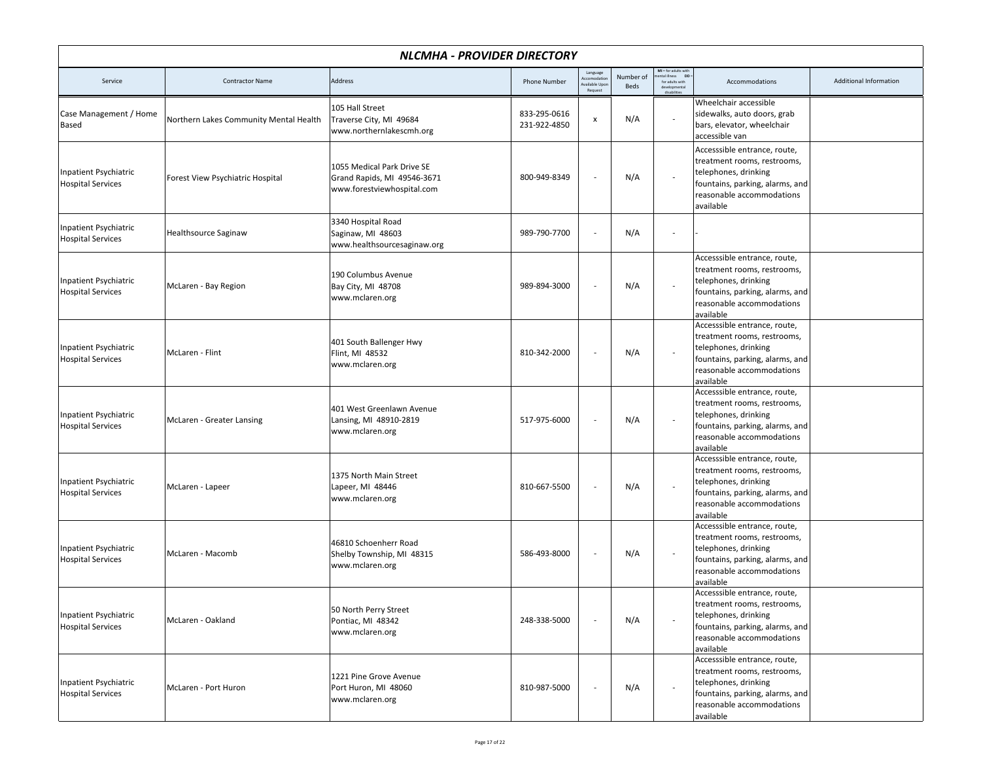| NLCMHA - PROVIDER DIRECTORY                              |                                        |                                                                                         |                              |                                                            |                   |                                                                                        |                                                                                                                                                                  |                        |  |
|----------------------------------------------------------|----------------------------------------|-----------------------------------------------------------------------------------------|------------------------------|------------------------------------------------------------|-------------------|----------------------------------------------------------------------------------------|------------------------------------------------------------------------------------------------------------------------------------------------------------------|------------------------|--|
| Service                                                  | <b>Contractor Name</b>                 | Address                                                                                 | <b>Phone Number</b>          | Language<br><b>Accomodation</b><br>vailable Upo<br>Request | Number of<br>Beds | $MI = for adults with$<br>ntal illness DD =<br>for adults with<br>deve<br>disabilities | Accommodations                                                                                                                                                   | Additional Information |  |
| Case Management / Home<br>Based                          | Northern Lakes Community Mental Health | 105 Hall Street<br>Traverse City, MI 49684<br>www.northernlakescmh.org                  | 833-295-0616<br>231-922-4850 | $\pmb{\mathsf{x}}$                                         | N/A               | $\sim$                                                                                 | Wheelchair accessible<br>sidewalks, auto doors, grab<br>bars, elevator, wheelchair<br>accessible van                                                             |                        |  |
| Inpatient Psychiatric<br><b>Hospital Services</b>        | Forest View Psychiatric Hospital       | 1055 Medical Park Drive SE<br>Grand Rapids, MI 49546-3671<br>www.forestviewhospital.com | 800-949-8349                 |                                                            | N/A               |                                                                                        | Accesssible entrance, route,<br>treatment rooms, restrooms,<br>telephones, drinking<br>fountains, parking, alarms, and<br>reasonable accommodations<br>available |                        |  |
| Inpatient Psychiatric<br><b>Hospital Services</b>        | <b>Healthsource Saginaw</b>            | 3340 Hospital Road<br>Saginaw, MI 48603<br>www.healthsourcesaginaw.org                  | 989-790-7700                 |                                                            | N/A               | $\sim$                                                                                 |                                                                                                                                                                  |                        |  |
| Inpatient Psychiatric<br><b>Hospital Services</b>        | McLaren - Bay Region                   | 190 Columbus Avenue<br>Bay City, MI 48708<br>www.mclaren.org                            | 989-894-3000                 |                                                            | N/A               |                                                                                        | Accesssible entrance, route,<br>treatment rooms, restrooms,<br>telephones, drinking<br>fountains, parking, alarms, and<br>reasonable accommodations<br>available |                        |  |
| <b>Inpatient Psychiatric</b><br><b>Hospital Services</b> | McLaren - Flint                        | 401 South Ballenger Hwy<br>Flint, MI 48532<br>www.mclaren.org                           | 810-342-2000                 |                                                            | N/A               |                                                                                        | Accesssible entrance, route,<br>treatment rooms, restrooms,<br>telephones, drinking<br>fountains, parking, alarms, and<br>reasonable accommodations<br>available |                        |  |
| Inpatient Psychiatric<br><b>Hospital Services</b>        | McLaren - Greater Lansing              | 401 West Greenlawn Avenue<br>Lansing, MI 48910-2819<br>www.mclaren.org                  | 517-975-6000                 |                                                            | N/A               |                                                                                        | Accesssible entrance, route,<br>treatment rooms, restrooms,<br>telephones, drinking<br>fountains, parking, alarms, and<br>reasonable accommodations<br>available |                        |  |
| Inpatient Psychiatric<br><b>Hospital Services</b>        | McLaren - Lapeer                       | 1375 North Main Street<br>Lapeer, MI 48446<br>www.mclaren.org                           | 810-667-5500                 |                                                            | N/A               |                                                                                        | Accesssible entrance, route,<br>treatment rooms, restrooms,<br>telephones, drinking<br>fountains, parking, alarms, and<br>reasonable accommodations<br>available |                        |  |
| Inpatient Psychiatric<br><b>Hospital Services</b>        | McLaren - Macomb                       | 46810 Schoenherr Road<br>Shelby Township, MI 48315<br>www.mclaren.org                   | 586-493-8000                 |                                                            | N/A               |                                                                                        | Accesssible entrance, route,<br>treatment rooms, restrooms,<br>telephones, drinking<br>fountains, parking, alarms, and<br>reasonable accommodations<br>available |                        |  |
| Inpatient Psychiatric<br><b>Hospital Services</b>        | McLaren - Oakland                      | 50 North Perry Street<br>Pontiac, MI 48342<br>www.mclaren.org                           | 248-338-5000                 |                                                            | N/A               | $\overline{\phantom{a}}$                                                               | Accesssible entrance, route,<br>treatment rooms, restrooms,<br>telephones, drinking<br>fountains, parking, alarms, and<br>reasonable accommodations<br>available |                        |  |
| Inpatient Psychiatric<br><b>Hospital Services</b>        | McLaren - Port Huron                   | 1221 Pine Grove Avenue<br>Port Huron, MI 48060<br>www.mclaren.org                       | 810-987-5000                 |                                                            | N/A               |                                                                                        | Accesssible entrance, route,<br>treatment rooms, restrooms,<br>telephones, drinking<br>fountains, parking, alarms, and<br>reasonable accommodations<br>available |                        |  |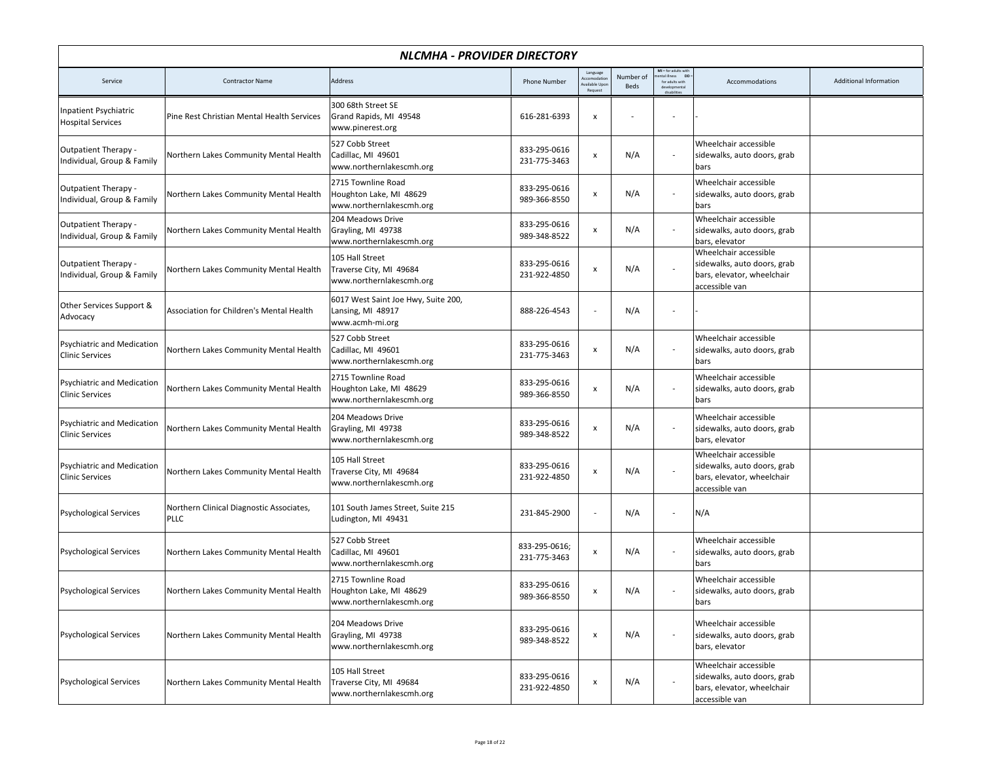|                                                             | NLCMHA - PROVIDER DIRECTORY                             |                                                                             |                               |                                                   |                   |                                                               |                                                                                                      |                        |  |  |
|-------------------------------------------------------------|---------------------------------------------------------|-----------------------------------------------------------------------------|-------------------------------|---------------------------------------------------|-------------------|---------------------------------------------------------------|------------------------------------------------------------------------------------------------------|------------------------|--|--|
| Service                                                     | <b>Contractor Name</b>                                  | Address                                                                     | <b>Phone Number</b>           | Language<br>ccomodatio<br>vailable Upo<br>Request | Number of<br>Beds | MI = for adults with<br>DD:<br>tal illness<br>for adults with | Accommodations                                                                                       | Additional Information |  |  |
| Inpatient Psychiatric<br><b>Hospital Services</b>           | Pine Rest Christian Mental Health Services              | 300 68th Street SE<br>Grand Rapids, MI 49548<br>www.pinerest.org            | 616-281-6393                  | x                                                 |                   |                                                               |                                                                                                      |                        |  |  |
| Outpatient Therapy -<br>Individual, Group & Family          | Northern Lakes Community Mental Health                  | 527 Cobb Street<br>Cadillac, MI 49601<br>www.northernlakescmh.org           | 833-295-0616<br>231-775-3463  | x                                                 | N/A               |                                                               | Wheelchair accessible<br>sidewalks, auto doors, grab<br>bars                                         |                        |  |  |
| Outpatient Therapy -<br>Individual, Group & Family          | Northern Lakes Community Mental Health                  | 2715 Townline Road<br>Houghton Lake, MI 48629<br>www.northernlakescmh.org   | 833-295-0616<br>989-366-8550  | x                                                 | N/A               |                                                               | Wheelchair accessible<br>sidewalks, auto doors, grab<br>bars                                         |                        |  |  |
| Outpatient Therapy -<br>Individual, Group & Family          | Northern Lakes Community Mental Health                  | 204 Meadows Drive<br>Grayling, MI 49738<br>www.northernlakescmh.org         | 833-295-0616<br>989-348-8522  | $\pmb{\mathsf{x}}$                                | N/A               |                                                               | Wheelchair accessible<br>sidewalks, auto doors, grab<br>bars, elevator                               |                        |  |  |
| <b>Outpatient Therapy -</b><br>Individual, Group & Family   | Northern Lakes Community Mental Health                  | 105 Hall Street<br>Traverse City, MI 49684<br>www.northernlakescmh.org      | 833-295-0616<br>231-922-4850  | x                                                 | N/A               |                                                               | Wheelchair accessible<br>sidewalks, auto doors, grab<br>bars, elevator, wheelchair<br>accessible van |                        |  |  |
| Other Services Support &<br>Advocacy                        | Association for Children's Mental Health                | 6017 West Saint Joe Hwy, Suite 200,<br>Lansing, MI 48917<br>www.acmh-mi.org | 888-226-4543                  |                                                   | N/A               |                                                               |                                                                                                      |                        |  |  |
| <b>Psychiatric and Medication</b><br><b>Clinic Services</b> | Northern Lakes Community Mental Health                  | 527 Cobb Street<br>Cadillac, MI 49601<br>www.northernlakescmh.org           | 833-295-0616<br>231-775-3463  | x                                                 | N/A               | $\overline{\phantom{a}}$                                      | Wheelchair accessible<br>sidewalks, auto doors, grab<br>bars                                         |                        |  |  |
| Psychiatric and Medication<br><b>Clinic Services</b>        | Northern Lakes Community Mental Health                  | 2715 Townline Road<br>Houghton Lake, MI 48629<br>www.northernlakescmh.org   | 833-295-0616<br>989-366-8550  | x                                                 | N/A               |                                                               | Wheelchair accessible<br>sidewalks, auto doors, grab<br>bars                                         |                        |  |  |
| <b>Psychiatric and Medication</b><br><b>Clinic Services</b> | Northern Lakes Community Mental Health                  | 204 Meadows Drive<br>Grayling, MI 49738<br>www.northernlakescmh.org         | 833-295-0616<br>989-348-8522  | x                                                 | N/A               |                                                               | Wheelchair accessible<br>sidewalks, auto doors, grab<br>bars, elevator                               |                        |  |  |
| <b>Psychiatric and Medication</b><br><b>Clinic Services</b> | Northern Lakes Community Mental Health                  | 105 Hall Street<br>Traverse City, MI 49684<br>www.northernlakescmh.org      | 833-295-0616<br>231-922-4850  | $\pmb{\mathsf{x}}$                                | N/A               |                                                               | Wheelchair accessible<br>sidewalks, auto doors, grab<br>bars, elevator, wheelchair<br>accessible van |                        |  |  |
| <b>Psychological Services</b>                               | Northern Clinical Diagnostic Associates,<br><b>PLLC</b> | 101 South James Street, Suite 215<br>Ludington, MI 49431                    | 231-845-2900                  | $\overline{\phantom{a}}$                          | N/A               | $\overline{\phantom{a}}$                                      | N/A                                                                                                  |                        |  |  |
| <b>Psychological Services</b>                               | Northern Lakes Community Mental Health                  | 527 Cobb Street<br>Cadillac, MI 49601<br>www.northernlakescmh.org           | 833-295-0616;<br>231-775-3463 | x                                                 | N/A               |                                                               | Wheelchair accessible<br>sidewalks, auto doors, grab<br>bars                                         |                        |  |  |
| <b>Psychological Services</b>                               | Northern Lakes Community Mental Health                  | 2715 Townline Road<br>Houghton Lake, MI 48629<br>www.northernlakescmh.org   | 833-295-0616<br>989-366-8550  | x                                                 | N/A               |                                                               | Wheelchair accessible<br>sidewalks, auto doors, grab<br>bars                                         |                        |  |  |
| <b>Psychological Services</b>                               | Northern Lakes Community Mental Health                  | 204 Meadows Drive<br>Grayling, MI 49738<br>www.northernlakescmh.org         | 833-295-0616<br>989-348-8522  | $\pmb{\mathsf{x}}$                                | N/A               |                                                               | Wheelchair accessible<br>sidewalks, auto doors, grab<br>bars, elevator                               |                        |  |  |
| <b>Psychological Services</b>                               | Northern Lakes Community Mental Health                  | 105 Hall Street<br>Traverse City, MI 49684<br>www.northernlakescmh.org      | 833-295-0616<br>231-922-4850  | x                                                 | N/A               |                                                               | Wheelchair accessible<br>sidewalks, auto doors, grab<br>bars, elevator, wheelchair<br>accessible van |                        |  |  |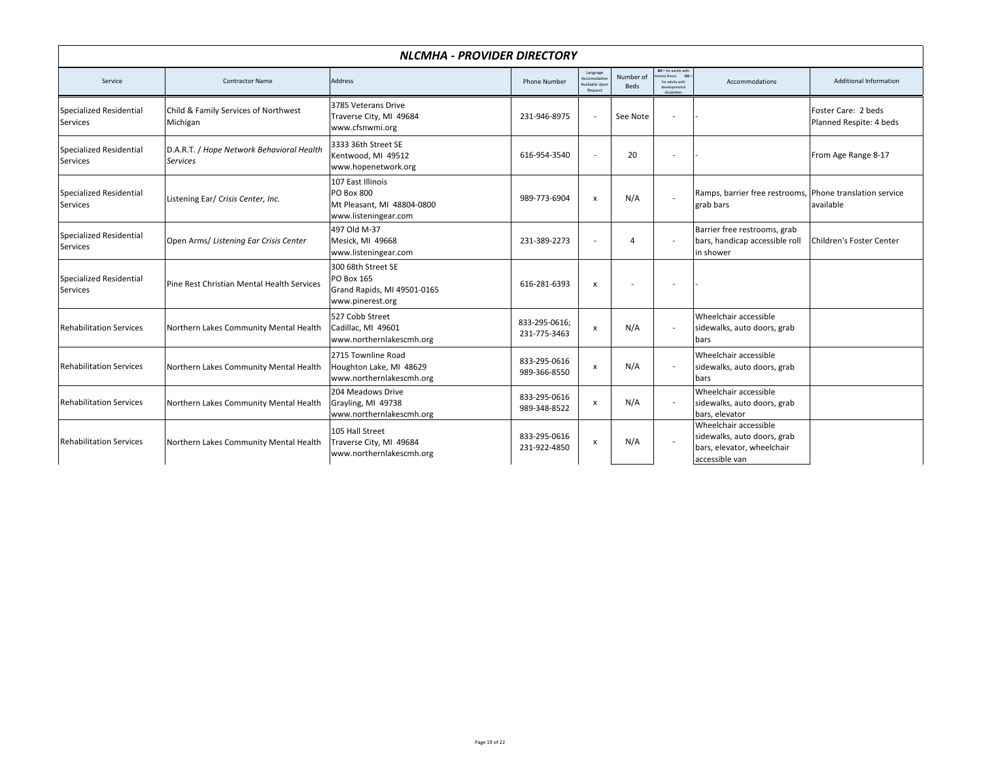| NLCMHA - PROVIDER DIRECTORY         |                                                              |                                                                                       |                               |                                                      |                          |                                                                                              |                                                                                                      |                                                |  |  |
|-------------------------------------|--------------------------------------------------------------|---------------------------------------------------------------------------------------|-------------------------------|------------------------------------------------------|--------------------------|----------------------------------------------------------------------------------------------|------------------------------------------------------------------------------------------------------|------------------------------------------------|--|--|
| Service                             | <b>Contractor Name</b>                                       | Address                                                                               | <b>Phone Number</b>           | Language<br>Accomodation<br>wailable Upor<br>Request | Number of<br><b>Beds</b> | MI = for adults with<br>ental illness DD<br>for adults with<br>developmental<br>diesbilities | Accommodations                                                                                       | <b>Additional Information</b>                  |  |  |
| Specialized Residential<br>Services | Child & Family Services of Northwest<br>Michigan             | 3785 Veterans Drive<br>Traverse City, MI 49684<br>www.cfsnwmi.org                     | 231-946-8975                  | $\sim$                                               | See Note                 | ٠                                                                                            |                                                                                                      | Foster Care: 2 beds<br>Planned Respite: 4 beds |  |  |
| Specialized Residential<br>Services | D.A.R.T. / Hope Network Behavioral Health<br><b>Services</b> | 3333 36th Street SE<br>Kentwood, MI 49512<br>www.hopenetwork.org                      | 616-954-3540                  | $\overline{\phantom{a}}$                             | 20                       | ٠                                                                                            |                                                                                                      | From Age Range 8-17                            |  |  |
| Specialized Residential<br>Services | Listening Ear/ Crisis Center, Inc.                           | 107 East Illinois<br>PO Box 800<br>Mt Pleasant, MI 48804-0800<br>www.listeningear.com | 989-773-6904                  | $\boldsymbol{\mathsf{x}}$                            | N/A                      | ÷.                                                                                           | Ramps, barrier free restrooms, Phone translation service<br>grab bars                                | available                                      |  |  |
| Specialized Residential<br>Services | Open Arms/ Listening Ear Crisis Center                       | 497 Old M-37<br>Mesick, MI 49668<br>www.listeningear.com                              | 231-389-2273                  | $\sim$                                               | $\overline{4}$           | $\sim$                                                                                       | Barrier free restrooms, grab<br>bars, handicap accessible roll<br>in shower                          | <b>Children's Foster Center</b>                |  |  |
| Specialized Residential<br>Services | Pine Rest Christian Mental Health Services                   | 300 68th Street SE<br>PO Box 165<br>Grand Rapids, MI 49501-0165<br>www.pinerest.org   | 616-281-6393                  | $\boldsymbol{\mathsf{x}}$                            |                          | ٠                                                                                            |                                                                                                      |                                                |  |  |
| <b>Rehabilitation Services</b>      | Northern Lakes Community Mental Health                       | 527 Cobb Street<br>Cadillac, MI 49601<br>www.northernlakescmh.org                     | 833-295-0616:<br>231-775-3463 | $\boldsymbol{\mathsf{x}}$                            | N/A                      |                                                                                              | Wheelchair accessible<br>sidewalks, auto doors, grab<br>bars                                         |                                                |  |  |
| <b>Rehabilitation Services</b>      | Northern Lakes Community Mental Health                       | 2715 Townline Road<br>Houghton Lake, MI 48629<br>www.northernlakescmh.org             | 833-295-0616<br>989-366-8550  | X                                                    | N/A                      | $\sim$                                                                                       | Wheelchair accessible<br>sidewalks, auto doors, grab<br>bars                                         |                                                |  |  |
| <b>Rehabilitation Services</b>      | Northern Lakes Community Mental Health                       | 204 Meadows Drive<br>Grayling, MI 49738<br>www.northernlakescmh.org                   | 833-295-0616<br>989-348-8522  | $\boldsymbol{\mathsf{x}}$                            | N/A                      |                                                                                              | Wheelchair accessible<br>sidewalks, auto doors, grab<br>bars, elevator                               |                                                |  |  |
| <b>Rehabilitation Services</b>      | Northern Lakes Community Mental Health                       | 105 Hall Street<br>Traverse City, MI 49684<br>www.northernlakescmh.org                | 833-295-0616<br>231-922-4850  | $\pmb{\times}$                                       | N/A                      |                                                                                              | Wheelchair accessible<br>sidewalks, auto doors, grab<br>bars, elevator, wheelchair<br>accessible van |                                                |  |  |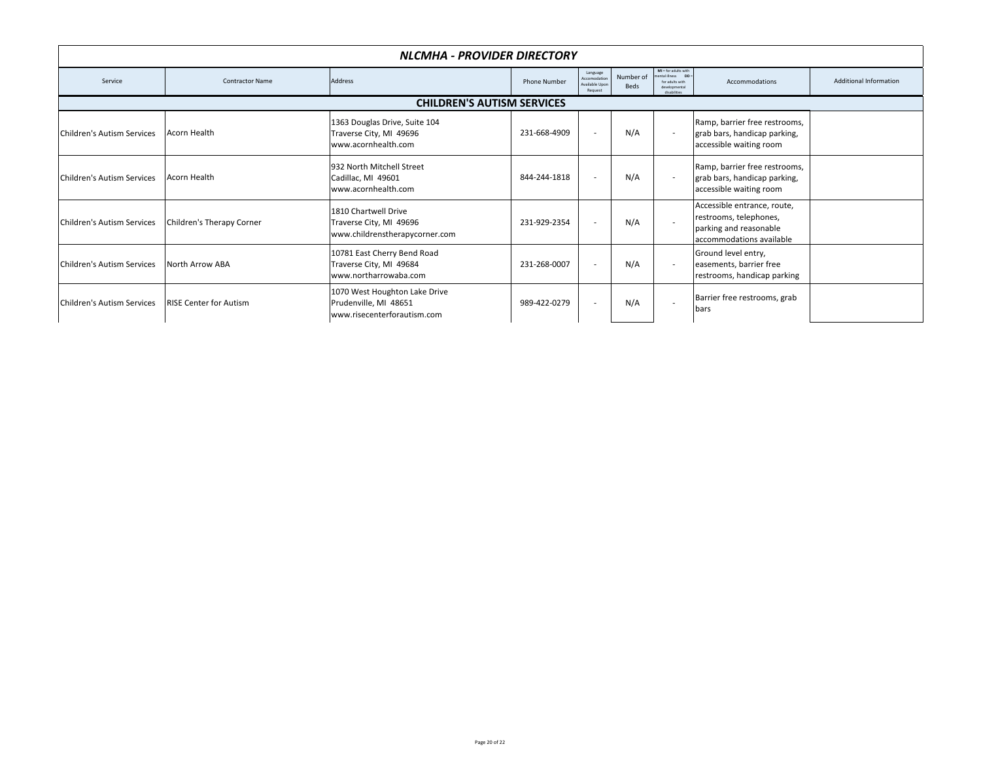|                            | NLCMHA - PROVIDER DIRECTORY       |                                                                                       |                     |                                                       |                   |                                                                                               |                                                                                                             |                        |  |  |
|----------------------------|-----------------------------------|---------------------------------------------------------------------------------------|---------------------|-------------------------------------------------------|-------------------|-----------------------------------------------------------------------------------------------|-------------------------------------------------------------------------------------------------------------|------------------------|--|--|
| Service                    | <b>Contractor Name</b>            | Address                                                                               | <b>Phone Number</b> | Language<br>Accomodation<br>Available Upon<br>Request | Number of<br>Beds | MI = for adults with<br>ental illness DD<br>for adults with<br>developmental<br>disabilities. | Accommodations                                                                                              | Additional Information |  |  |
|                            | <b>CHILDREN'S AUTISM SERVICES</b> |                                                                                       |                     |                                                       |                   |                                                                                               |                                                                                                             |                        |  |  |
| Children's Autism Services | Acorn Health                      | 1363 Douglas Drive, Suite 104<br>Traverse City, MI 49696<br>www.acornhealth.com       | 231-668-4909        |                                                       | N/A               | $\sim$                                                                                        | Ramp, barrier free restrooms,<br>grab bars, handicap parking,<br>accessible waiting room                    |                        |  |  |
| Children's Autism Services | <b>Acorn Health</b>               | 932 North Mitchell Street<br>Cadillac, MI 49601<br>www.acornhealth.com                | 844-244-1818        |                                                       | N/A               | $\overline{\phantom{a}}$                                                                      | Ramp, barrier free restrooms,<br>grab bars, handicap parking,<br>accessible waiting room                    |                        |  |  |
| Children's Autism Services | Children's Therapy Corner         | 1810 Chartwell Drive<br>Traverse City, MI 49696<br>www.childrenstherapycorner.com     | 231-929-2354        |                                                       | N/A               | $\sim$                                                                                        | Accessible entrance, route,<br>restrooms, telephones,<br>parking and reasonable<br>accommodations available |                        |  |  |
| Children's Autism Services | <b>North Arrow ABA</b>            | 10781 East Cherry Bend Road<br>Traverse City, MI 49684<br>www.northarrowaba.com       | 231-268-0007        |                                                       | N/A               | $\overline{\phantom{a}}$                                                                      | Ground level entry,<br>easements, barrier free<br>restrooms, handicap parking                               |                        |  |  |
| Children's Autism Services | <b>RISE Center for Autism</b>     | 1070 West Houghton Lake Drive<br>Prudenville, MI 48651<br>www.risecenterforautism.com | 989-422-0279        |                                                       | N/A               |                                                                                               | Barrier free restrooms, grab<br>bars                                                                        |                        |  |  |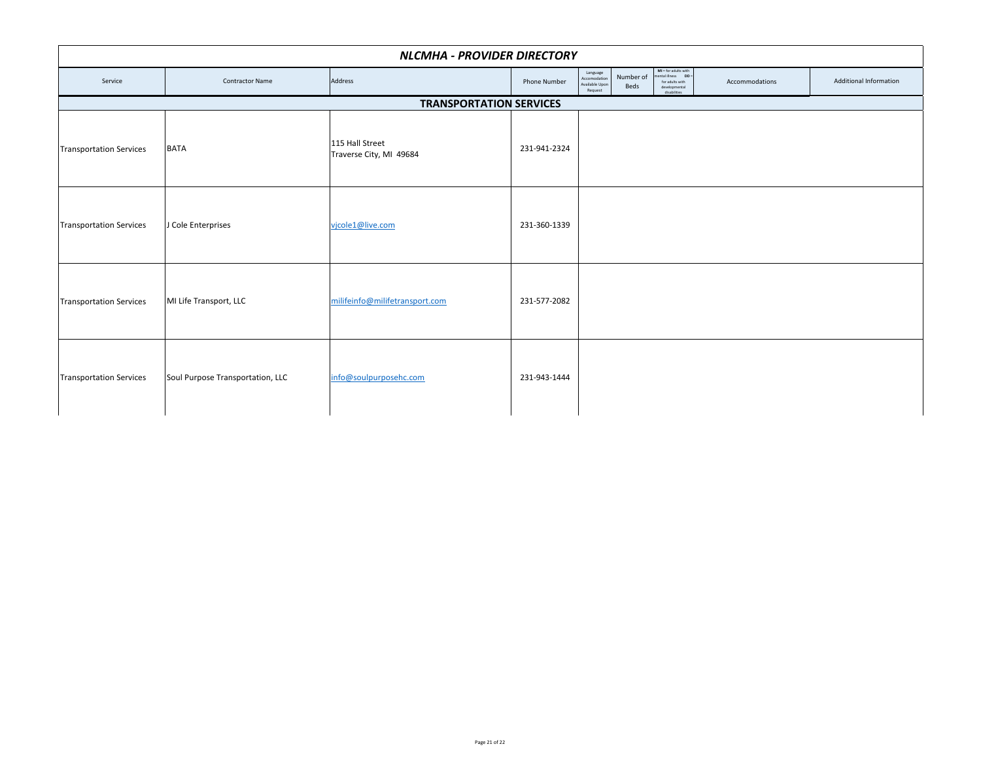| NLCMHA - PROVIDER DIRECTORY    |                                  |                                            |                     |                                                       |                   |                                                                                                  |                |                        |  |  |
|--------------------------------|----------------------------------|--------------------------------------------|---------------------|-------------------------------------------------------|-------------------|--------------------------------------------------------------------------------------------------|----------------|------------------------|--|--|
| Service                        | <b>Contractor Name</b>           | Address                                    | <b>Phone Number</b> | Language<br>Accomodation<br>Available Upon<br>Request | Number of<br>Beds | $MI = for adults with$<br>nental illness DD:<br>for adults with<br>developmental<br>disabilities | Accommodations | Additional Information |  |  |
| <b>TRANSPORTATION SERVICES</b> |                                  |                                            |                     |                                                       |                   |                                                                                                  |                |                        |  |  |
| <b>Transportation Services</b> | <b>BATA</b>                      | 115 Hall Street<br>Traverse City, MI 49684 | 231-941-2324        |                                                       |                   |                                                                                                  |                |                        |  |  |
| <b>Transportation Services</b> | J Cole Enterprises               | vjcole1@live.com                           | 231-360-1339        |                                                       |                   |                                                                                                  |                |                        |  |  |
| <b>Transportation Services</b> | MI Life Transport, LLC           | milifeinfo@milifetransport.com             | 231-577-2082        |                                                       |                   |                                                                                                  |                |                        |  |  |
| <b>Transportation Services</b> | Soul Purpose Transportation, LLC | info@soulpurposehc.com                     | 231-943-1444        |                                                       |                   |                                                                                                  |                |                        |  |  |